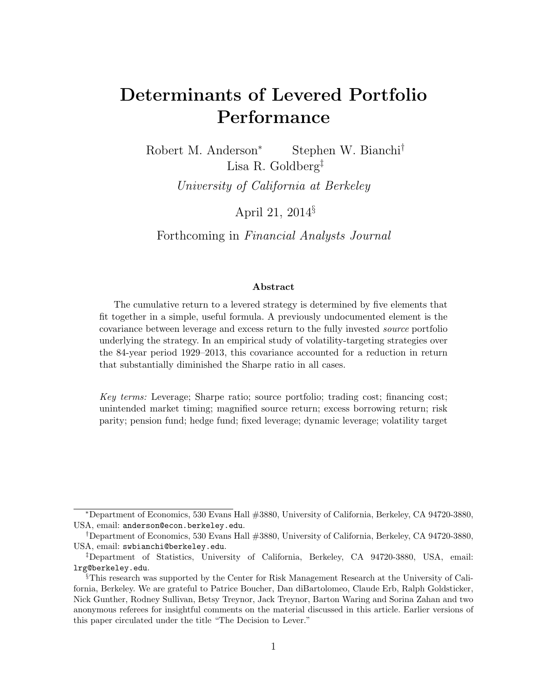# Determinants of Levered Portfolio Performance

Robert M. Anderson<sup>∗</sup> Stephen W. Bianchi† Lisa R. Goldberg‡ University of California at Berkeley

April 21, 2014§

Forthcoming in Financial Analysts Journal

#### Abstract

The cumulative return to a levered strategy is determined by five elements that fit together in a simple, useful formula. A previously undocumented element is the covariance between leverage and excess return to the fully invested source portfolio underlying the strategy. In an empirical study of volatility-targeting strategies over the 84-year period 1929–2013, this covariance accounted for a reduction in return that substantially diminished the Sharpe ratio in all cases.

Key terms: Leverage; Sharpe ratio; source portfolio; trading cost; financing cost; unintended market timing; magnified source return; excess borrowing return; risk parity; pension fund; hedge fund; fixed leverage; dynamic leverage; volatility target

<sup>∗</sup>Department of Economics, 530 Evans Hall #3880, University of California, Berkeley, CA 94720-3880, USA, email: anderson@econ.berkeley.edu.

<sup>†</sup>Department of Economics, 530 Evans Hall #3880, University of California, Berkeley, CA 94720-3880, USA, email: swbianchi@berkeley.edu.

<sup>‡</sup>Department of Statistics, University of California, Berkeley, CA 94720-3880, USA, email: lrg@berkeley.edu.

<sup>§</sup>This research was supported by the Center for Risk Management Research at the University of California, Berkeley. We are grateful to Patrice Boucher, Dan diBartolomeo, Claude Erb, Ralph Goldsticker, Nick Gunther, Rodney Sullivan, Betsy Treynor, Jack Treynor, Barton Waring and Sorina Zahan and two anonymous referees for insightful comments on the material discussed in this article. Earlier versions of this paper circulated under the title "The Decision to Lever."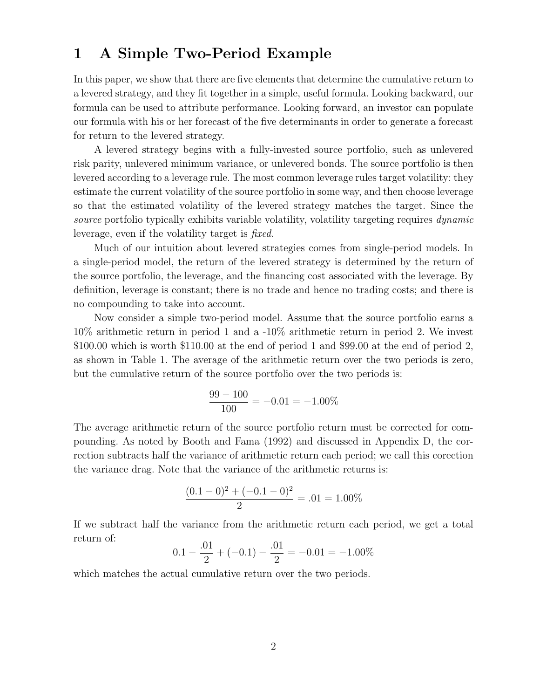## 1 A Simple Two-Period Example

In this paper, we show that there are five elements that determine the cumulative return to a levered strategy, and they fit together in a simple, useful formula. Looking backward, our formula can be used to attribute performance. Looking forward, an investor can populate our formula with his or her forecast of the five determinants in order to generate a forecast for return to the levered strategy.

A levered strategy begins with a fully-invested source portfolio, such as unlevered risk parity, unlevered minimum variance, or unlevered bonds. The source portfolio is then levered according to a leverage rule. The most common leverage rules target volatility: they estimate the current volatility of the source portfolio in some way, and then choose leverage so that the estimated volatility of the levered strategy matches the target. Since the source portfolio typically exhibits variable volatility, volatility targeting requires dynamic leverage, even if the volatility target is fixed.

Much of our intuition about levered strategies comes from single-period models. In a single-period model, the return of the levered strategy is determined by the return of the source portfolio, the leverage, and the financing cost associated with the leverage. By definition, leverage is constant; there is no trade and hence no trading costs; and there is no compounding to take into account.

Now consider a simple two-period model. Assume that the source portfolio earns a 10% arithmetic return in period 1 and a -10% arithmetic return in period 2. We invest \$100.00 which is worth \$110.00 at the end of period 1 and \$99.00 at the end of period 2, as shown in Table 1. The average of the arithmetic return over the two periods is zero, but the cumulative return of the source portfolio over the two periods is:

$$
\frac{99 - 100}{100} = -0.01 = -1.00\%
$$

The average arithmetic return of the source portfolio return must be corrected for compounding. As noted by Booth and Fama (1992) and discussed in Appendix D, the correction subtracts half the variance of arithmetic return each period; we call this corection the variance drag. Note that the variance of the arithmetic returns is:

$$
\frac{(0.1-0)^2 + (-0.1-0)^2}{2} = .01 = 1.00\%
$$

If we subtract half the variance from the arithmetic return each period, we get a total return of:

$$
0.1 - \frac{.01}{2} + (-0.1) - \frac{.01}{2} = -0.01 = -1.00\%
$$

which matches the actual cumulative return over the two periods.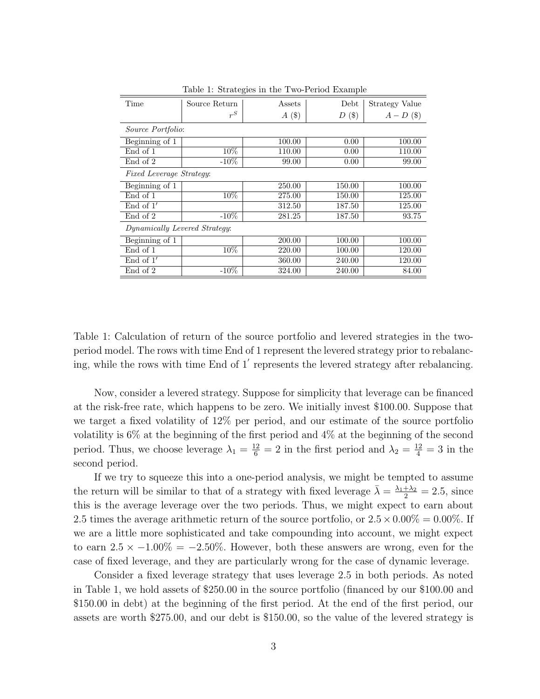| Time                            | Source Return | Assets  | Debt    | Strategy Value |
|---------------------------------|---------------|---------|---------|----------------|
|                                 | $r^S$         | $A($ \$ | $D($ \$ | $A-D$ (\$)     |
| Source Portfolio:               |               |         |         |                |
| Beginning of 1                  |               | 100.00  | 0.00    | 100.00         |
| End of 1                        | 10%           | 110.00  | 0.00    | 110.00         |
| End of 2                        | $-10\%$       | 99.00   | 0.00    | 99.00          |
| <i>Fixed Leverage Strategy:</i> |               |         |         |                |
| Beginning of 1                  |               | 250.00  | 150.00  | 100.00         |
| End of 1                        | 10%           | 275.00  | 150.00  | 125.00         |
| End of $1'$                     |               | 312.50  | 187.50  | 125.00         |
| End of 2                        | $-10\%$       | 281.25  | 187.50  | 93.75          |
| Dynamically Levered Strategy:   |               |         |         |                |
| Beginning of 1                  |               | 200.00  | 100.00  | 100.00         |
| End of 1                        | 10%           | 220.00  | 100.00  | 120.00         |
| End of $1'$                     |               | 360.00  | 240.00  | 120.00         |
| End of 2                        | $-10\%$       | 324.00  | 240.00  | 84.00          |

Table 1: Strategies in the Two-Period Example

Table 1: Calculation of return of the source portfolio and levered strategies in the twoperiod model. The rows with time End of 1 represent the levered strategy prior to rebalancing, while the rows with time End of  $1'$  represents the levered strategy after rebalancing.

Now, consider a levered strategy. Suppose for simplicity that leverage can be financed at the risk-free rate, which happens to be zero. We initially invest \$100.00. Suppose that we target a fixed volatility of 12% per period, and our estimate of the source portfolio volatility is 6% at the beginning of the first period and 4% at the beginning of the second period. Thus, we choose leverage  $\lambda_1 = \frac{12}{6} = 2$  in the first period and  $\lambda_2 = \frac{12}{4} = 3$  in the second period.

If we try to squeeze this into a one-period analysis, we might be tempted to assume the return will be similar to that of a strategy with fixed leverage  $\bar{\lambda} = \frac{\lambda_1 + \lambda_2}{2} = 2.5$ , since this is the average leverage over the two periods. Thus, we might expect to earn about 2.5 times the average arithmetic return of the source portfolio, or  $2.5 \times 0.00\% = 0.00\%$ . If we are a little more sophisticated and take compounding into account, we might expect to earn  $2.5 \times -1.00\% = -2.50\%$ . However, both these answers are wrong, even for the case of fixed leverage, and they are particularly wrong for the case of dynamic leverage.

Consider a fixed leverage strategy that uses leverage 2.5 in both periods. As noted in Table 1, we hold assets of \$250.00 in the source portfolio (financed by our \$100.00 and \$150.00 in debt) at the beginning of the first period. At the end of the first period, our assets are worth \$275.00, and our debt is \$150.00, so the value of the levered strategy is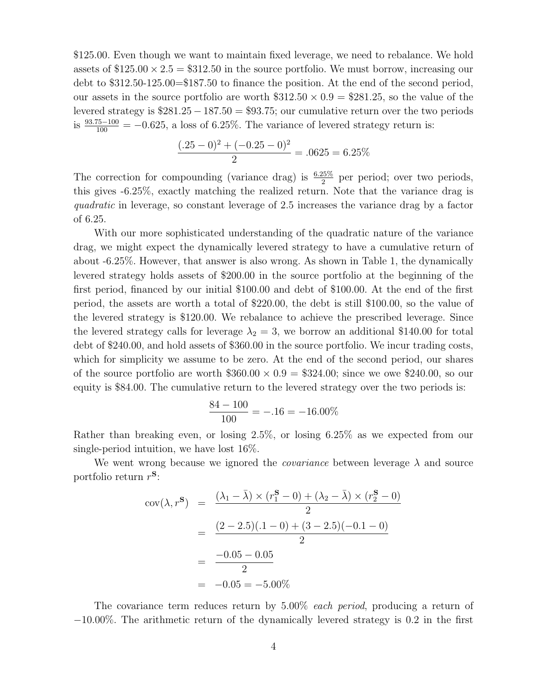\$125.00. Even though we want to maintain fixed leverage, we need to rebalance. We hold assets of  $$125.00 \times 2.5 = $312.50$  in the source portfolio. We must borrow, increasing our debt to \$312.50-125.00=\$187.50 to finance the position. At the end of the second period, our assets in the source portfolio are worth  $312.50 \times 0.9 = 281.25$ , so the value of the levered strategy is  $$281.25 - 187.50 = $93.75$ ; our cumulative return over the two periods is  $\frac{93.75-100}{100} = -0.625$ , a loss of 6.25%. The variance of levered strategy return is:

$$
\frac{(.25-0)^2 + (-0.25-0)^2}{2} = .0625 = 6.25\%
$$

The correction for compounding (variance drag) is  $\frac{6.25\%}{2}$  per period; over two periods, this gives -6.25%, exactly matching the realized return. Note that the variance drag is quadratic in leverage, so constant leverage of 2.5 increases the variance drag by a factor of 6.25.

With our more sophisticated understanding of the quadratic nature of the variance drag, we might expect the dynamically levered strategy to have a cumulative return of about -6.25%. However, that answer is also wrong. As shown in Table 1, the dynamically levered strategy holds assets of \$200.00 in the source portfolio at the beginning of the first period, financed by our initial \$100.00 and debt of \$100.00. At the end of the first period, the assets are worth a total of \$220.00, the debt is still \$100.00, so the value of the levered strategy is \$120.00. We rebalance to achieve the prescribed leverage. Since the levered strategy calls for leverage  $\lambda_2 = 3$ , we borrow an additional \$140.00 for total debt of \$240.00, and hold assets of \$360.00 in the source portfolio. We incur trading costs, which for simplicity we assume to be zero. At the end of the second period, our shares of the source portfolio are worth  $$360.00 \times 0.9 = $324.00$ ; since we owe \$240.00, so our equity is \$84.00. The cumulative return to the levered strategy over the two periods is:

$$
\frac{84 - 100}{100} = -.16 = -16.00\%
$$

Rather than breaking even, or losing 2.5%, or losing 6.25% as we expected from our single-period intuition, we have lost 16%.

We went wrong because we ignored the *covariance* between leverage  $\lambda$  and source portfolio return  $r^{\mathbf{S}}$ :

$$
cov(\lambda, r^{\mathbf{S}}) = \frac{(\lambda_1 - \bar{\lambda}) \times (r_1^{\mathbf{S}} - 0) + (\lambda_2 - \bar{\lambda}) \times (r_2^{\mathbf{S}} - 0)}{2}
$$
  
= 
$$
\frac{(2 - 2.5)(.1 - 0) + (3 - 2.5)(-0.1 - 0)}{2}
$$
  
= 
$$
\frac{-0.05 - 0.05}{2}
$$
  
= -0.05 = -5.00%

The covariance term reduces return by 5.00% each period, producing a return of −10.00%. The arithmetic return of the dynamically levered strategy is 0.2 in the first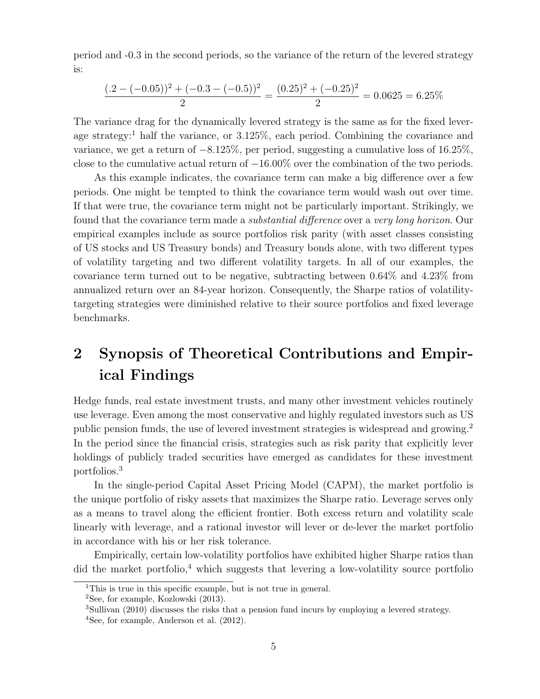period and -0.3 in the second periods, so the variance of the return of the levered strategy is:

$$
\frac{(.2 - (-0.05))^2 + (-0.3 - (-0.5))^2}{2} = \frac{(0.25)^2 + (-0.25)^2}{2} = 0.0625 = 6.25\%
$$

The variance drag for the dynamically levered strategy is the same as for the fixed leverage strategy:<sup>1</sup> half the variance, or  $3.125\%$ , each period. Combining the covariance and variance, we get a return of  $-8.125\%$ , per period, suggesting a cumulative loss of 16.25%, close to the cumulative actual return of −16.00% over the combination of the two periods.

As this example indicates, the covariance term can make a big difference over a few periods. One might be tempted to think the covariance term would wash out over time. If that were true, the covariance term might not be particularly important. Strikingly, we found that the covariance term made a *substantial difference* over a very long horizon. Our empirical examples include as source portfolios risk parity (with asset classes consisting of US stocks and US Treasury bonds) and Treasury bonds alone, with two different types of volatility targeting and two different volatility targets. In all of our examples, the covariance term turned out to be negative, subtracting between 0.64% and 4.23% from annualized return over an 84-year horizon. Consequently, the Sharpe ratios of volatilitytargeting strategies were diminished relative to their source portfolios and fixed leverage benchmarks.

# 2 Synopsis of Theoretical Contributions and Empirical Findings

Hedge funds, real estate investment trusts, and many other investment vehicles routinely use leverage. Even among the most conservative and highly regulated investors such as US public pension funds, the use of levered investment strategies is widespread and growing.<sup>2</sup> In the period since the financial crisis, strategies such as risk parity that explicitly lever holdings of publicly traded securities have emerged as candidates for these investment portfolios.<sup>3</sup>

In the single-period Capital Asset Pricing Model (CAPM), the market portfolio is the unique portfolio of risky assets that maximizes the Sharpe ratio. Leverage serves only as a means to travel along the efficient frontier. Both excess return and volatility scale linearly with leverage, and a rational investor will lever or de-lever the market portfolio in accordance with his or her risk tolerance.

Empirically, certain low-volatility portfolios have exhibited higher Sharpe ratios than  $\rm{did}$  the market portfolio,<sup>4</sup> which suggests that levering a low-volatility source portfolio

<sup>&</sup>lt;sup>1</sup>This is true in this specific example, but is not true in general.

<sup>2</sup>See, for example, Kozlowski (2013).

<sup>3</sup>Sullivan (2010) discusses the risks that a pension fund incurs by employing a levered strategy.

<sup>4</sup>See, for example, Anderson et al. (2012).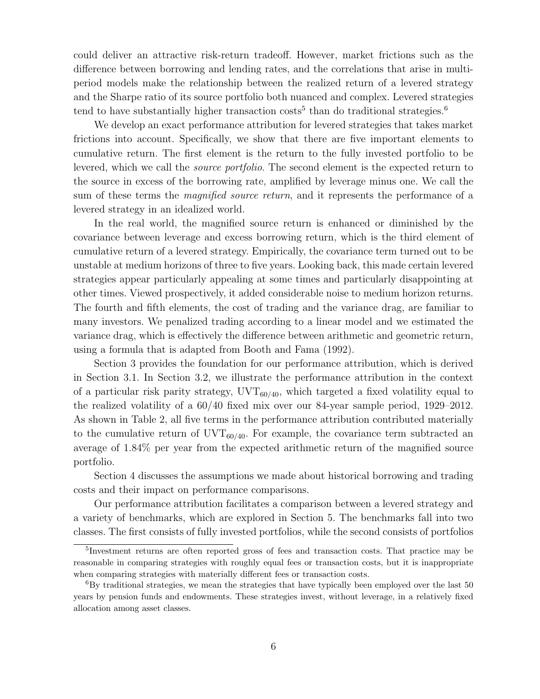could deliver an attractive risk-return tradeoff. However, market frictions such as the difference between borrowing and lending rates, and the correlations that arise in multiperiod models make the relationship between the realized return of a levered strategy and the Sharpe ratio of its source portfolio both nuanced and complex. Levered strategies tend to have substantially higher transaction  $\text{costs}^5$  than do traditional strategies.<sup>6</sup>

We develop an exact performance attribution for levered strategies that takes market frictions into account. Specifically, we show that there are five important elements to cumulative return. The first element is the return to the fully invested portfolio to be levered, which we call the source portfolio. The second element is the expected return to the source in excess of the borrowing rate, amplified by leverage minus one. We call the sum of these terms the *magnified source return*, and it represents the performance of a levered strategy in an idealized world.

In the real world, the magnified source return is enhanced or diminished by the covariance between leverage and excess borrowing return, which is the third element of cumulative return of a levered strategy. Empirically, the covariance term turned out to be unstable at medium horizons of three to five years. Looking back, this made certain levered strategies appear particularly appealing at some times and particularly disappointing at other times. Viewed prospectively, it added considerable noise to medium horizon returns. The fourth and fifth elements, the cost of trading and the variance drag, are familiar to many investors. We penalized trading according to a linear model and we estimated the variance drag, which is effectively the difference between arithmetic and geometric return, using a formula that is adapted from Booth and Fama (1992).

Section 3 provides the foundation for our performance attribution, which is derived in Section 3.1. In Section 3.2, we illustrate the performance attribution in the context of a particular risk parity strategy,  $\text{UVT}_{60/40}$ , which targeted a fixed volatility equal to the realized volatility of a 60/40 fixed mix over our 84-year sample period, 1929–2012. As shown in Table 2, all five terms in the performance attribution contributed materially to the cumulative return of  $UVT_{60/40}$ . For example, the covariance term subtracted an average of 1.84% per year from the expected arithmetic return of the magnified source portfolio.

Section 4 discusses the assumptions we made about historical borrowing and trading costs and their impact on performance comparisons.

Our performance attribution facilitates a comparison between a levered strategy and a variety of benchmarks, which are explored in Section 5. The benchmarks fall into two classes. The first consists of fully invested portfolios, while the second consists of portfolios

<sup>&</sup>lt;sup>5</sup>Investment returns are often reported gross of fees and transaction costs. That practice may be reasonable in comparing strategies with roughly equal fees or transaction costs, but it is inappropriate when comparing strategies with materially different fees or transaction costs.

<sup>&</sup>lt;sup>6</sup>By traditional strategies, we mean the strategies that have typically been employed over the last 50 years by pension funds and endowments. These strategies invest, without leverage, in a relatively fixed allocation among asset classes.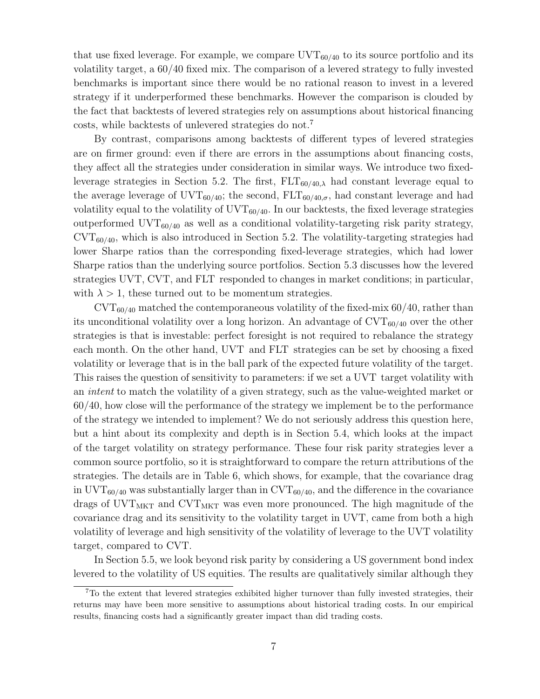that use fixed leverage. For example, we compare  $UVT_{60/40}$  to its source portfolio and its volatility target, a 60/40 fixed mix. The comparison of a levered strategy to fully invested benchmarks is important since there would be no rational reason to invest in a levered strategy if it underperformed these benchmarks. However the comparison is clouded by the fact that backtests of levered strategies rely on assumptions about historical financing costs, while backtests of unlevered strategies do not.<sup>7</sup>

By contrast, comparisons among backtests of different types of levered strategies are on firmer ground: even if there are errors in the assumptions about financing costs, they affect all the strategies under consideration in similar ways. We introduce two fixedleverage strategies in Section 5.2. The first,  $FLT_{60/40,\lambda}$  had constant leverage equal to the average leverage of  $\text{UVT}_{60/40}$ ; the second,  $\text{FLT}_{60/40,\sigma}$ , had constant leverage and had volatility equal to the volatility of  $\text{UVT}_{60/40}$ . In our backtests, the fixed leverage strategies outperformed  $\text{UVT}_{60/40}$  as well as a conditional volatility-targeting risk parity strategy,  $\text{CVT}_{60/40}$ , which is also introduced in Section 5.2. The volatility-targeting strategies had lower Sharpe ratios than the corresponding fixed-leverage strategies, which had lower Sharpe ratios than the underlying source portfolios. Section 5.3 discusses how the levered strategies UVT, CVT, and FLT responded to changes in market conditions; in particular, with  $\lambda > 1$ , these turned out to be momentum strategies.

 $\text{CVT}_{60/40}$  matched the contemporaneous volatility of the fixed-mix 60/40, rather than its unconditional volatility over a long horizon. An advantage of  $\text{CVT}_{60/40}$  over the other strategies is that is investable: perfect foresight is not required to rebalance the strategy each month. On the other hand, UVT and FLT strategies can be set by choosing a fixed volatility or leverage that is in the ball park of the expected future volatility of the target. This raises the question of sensitivity to parameters: if we set a UVT target volatility with an intent to match the volatility of a given strategy, such as the value-weighted market or 60/40, how close will the performance of the strategy we implement be to the performance of the strategy we intended to implement? We do not seriously address this question here, but a hint about its complexity and depth is in Section 5.4, which looks at the impact of the target volatility on strategy performance. These four risk parity strategies lever a common source portfolio, so it is straightforward to compare the return attributions of the strategies. The details are in Table 6, which shows, for example, that the covariance drag in  $\text{UVT}_{60/40}$  was substantially larger than in  $\text{CVT}_{60/40}$ , and the difference in the covariance drags of  $\text{UVT}_{\text{MKT}}$  and  $\text{CVT}_{\text{MKT}}$  was even more pronounced. The high magnitude of the covariance drag and its sensitivity to the volatility target in UVT, came from both a high volatility of leverage and high sensitivity of the volatility of leverage to the UVT volatility target, compared to CVT.

In Section 5.5, we look beyond risk parity by considering a US government bond index levered to the volatility of US equities. The results are qualitatively similar although they

<sup>7</sup>To the extent that levered strategies exhibited higher turnover than fully invested strategies, their returns may have been more sensitive to assumptions about historical trading costs. In our empirical results, financing costs had a significantly greater impact than did trading costs.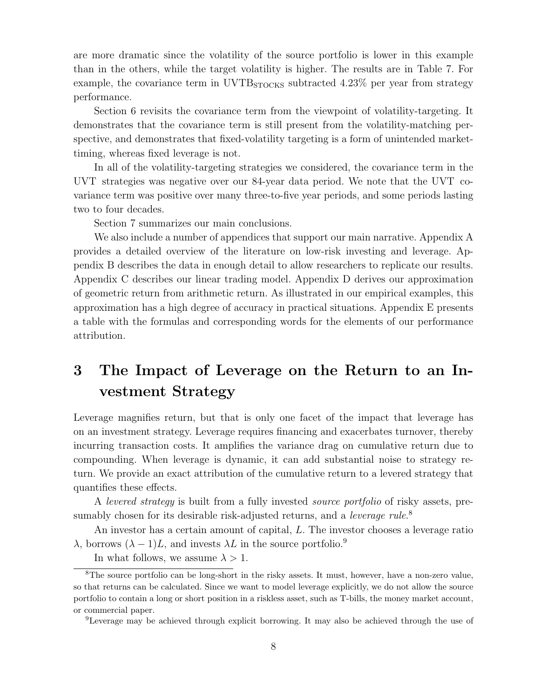are more dramatic since the volatility of the source portfolio is lower in this example than in the others, while the target volatility is higher. The results are in Table 7. For example, the covariance term in  $UVTB<sub>STOCKS</sub>$  subtracted 4.23% per year from strategy performance.

Section 6 revisits the covariance term from the viewpoint of volatility-targeting. It demonstrates that the covariance term is still present from the volatility-matching perspective, and demonstrates that fixed-volatility targeting is a form of unintended markettiming, whereas fixed leverage is not.

In all of the volatility-targeting strategies we considered, the covariance term in the UVT strategies was negative over our 84-year data period. We note that the UVT covariance term was positive over many three-to-five year periods, and some periods lasting two to four decades.

Section 7 summarizes our main conclusions.

We also include a number of appendices that support our main narrative. Appendix A provides a detailed overview of the literature on low-risk investing and leverage. Appendix B describes the data in enough detail to allow researchers to replicate our results. Appendix C describes our linear trading model. Appendix D derives our approximation of geometric return from arithmetic return. As illustrated in our empirical examples, this approximation has a high degree of accuracy in practical situations. Appendix E presents a table with the formulas and corresponding words for the elements of our performance attribution.

# 3 The Impact of Leverage on the Return to an Investment Strategy

Leverage magnifies return, but that is only one facet of the impact that leverage has on an investment strategy. Leverage requires financing and exacerbates turnover, thereby incurring transaction costs. It amplifies the variance drag on cumulative return due to compounding. When leverage is dynamic, it can add substantial noise to strategy return. We provide an exact attribution of the cumulative return to a levered strategy that quantifies these effects.

A levered strategy is built from a fully invested source portfolio of risky assets, presumably chosen for its desirable risk-adjusted returns, and a *leverage rule*.<sup>8</sup>

An investor has a certain amount of capital, L. The investor chooses a leverage ratio  $\lambda$ , borrows  $(\lambda - 1)L$ , and invests  $\lambda L$  in the source portfolio.<sup>9</sup>

In what follows, we assume  $\lambda > 1$ .

<sup>&</sup>lt;sup>8</sup>The source portfolio can be long-short in the risky assets. It must, however, have a non-zero value, so that returns can be calculated. Since we want to model leverage explicitly, we do not allow the source portfolio to contain a long or short position in a riskless asset, such as T-bills, the money market account, or commercial paper.

<sup>9</sup>Leverage may be achieved through explicit borrowing. It may also be achieved through the use of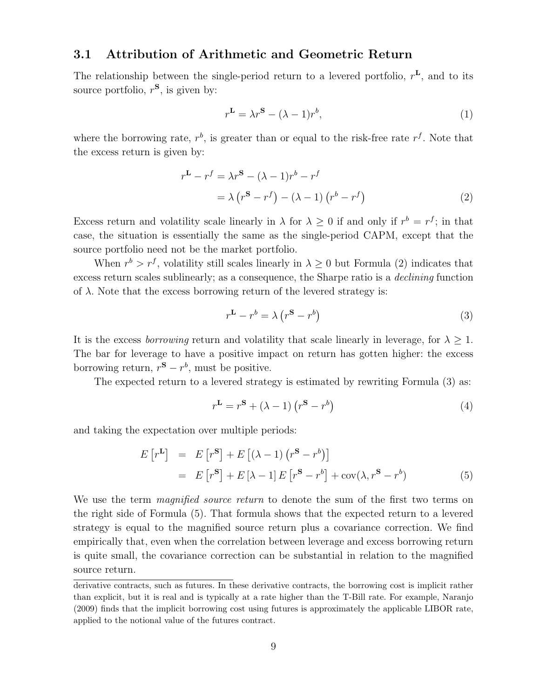### 3.1 Attribution of Arithmetic and Geometric Return

The relationship between the single-period return to a levered portfolio,  $r^L$ , and to its source portfolio,  $r^{\mathbf{S}}$ , is given by:

$$
r^{\mathbf{L}} = \lambda r^{\mathbf{S}} - (\lambda - 1)r^{b},\tag{1}
$$

where the borrowing rate,  $r^b$ , is greater than or equal to the risk-free rate  $r^f$ . Note that the excess return is given by:

$$
rL - rf = \lambda rS - (\lambda - 1)rb - rf
$$
  
=  $\lambda (rS - rf) - (\lambda - 1) (rb - rf)$  (2)

Excess return and volatility scale linearly in  $\lambda$  for  $\lambda \geq 0$  if and only if  $r^b = r^f$ ; in that case, the situation is essentially the same as the single-period CAPM, except that the source portfolio need not be the market portfolio.

When  $r^b > r^f$ , volatility still scales linearly in  $\lambda \geq 0$  but Formula (2) indicates that excess return scales sublinearly; as a consequence, the Sharpe ratio is a *declining* function of  $\lambda$ . Note that the excess borrowing return of the levered strategy is:

$$
r^{\mathbf{L}} - r^b = \lambda (r^{\mathbf{S}} - r^b)
$$
 (3)

It is the excess *borrowing* return and volatility that scale linearly in leverage, for  $\lambda \geq 1$ . The bar for leverage to have a positive impact on return has gotten higher: the excess borrowing return,  $r^{\mathbf{S}} - r^{b}$ , must be positive.

The expected return to a levered strategy is estimated by rewriting Formula (3) as:

$$
r^{\mathbf{L}} = r^{\mathbf{S}} + (\lambda - 1) (r^{\mathbf{S}} - r^{b})
$$
\n(4)

and taking the expectation over multiple periods:

$$
E[r^{L}] = E[r^{S}] + E[(\lambda - 1)(r^{S} - r^{b})]
$$
  
= 
$$
E[r^{S}] + E[\lambda - 1]E[r^{S} - r^{b}] + cov(\lambda, r^{S} - r^{b})
$$
(5)

We use the term *magnified source return* to denote the sum of the first two terms on the right side of Formula (5). That formula shows that the expected return to a levered strategy is equal to the magnified source return plus a covariance correction. We find empirically that, even when the correlation between leverage and excess borrowing return is quite small, the covariance correction can be substantial in relation to the magnified source return.

derivative contracts, such as futures. In these derivative contracts, the borrowing cost is implicit rather than explicit, but it is real and is typically at a rate higher than the T-Bill rate. For example, Naranjo (2009) finds that the implicit borrowing cost using futures is approximately the applicable LIBOR rate, applied to the notional value of the futures contract.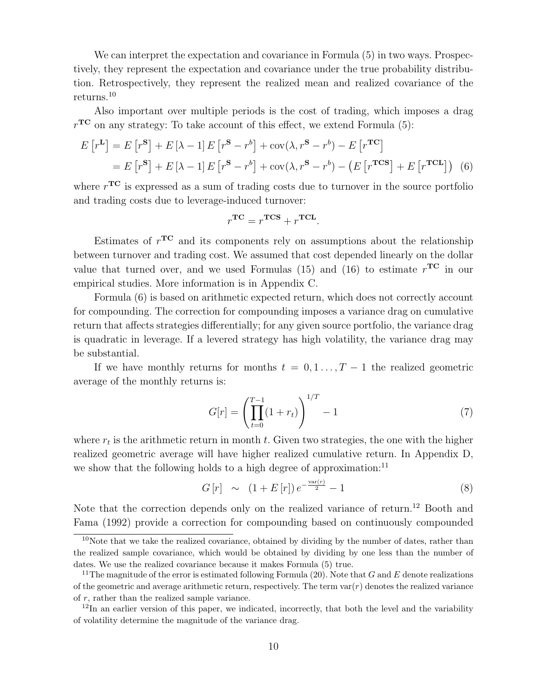We can interpret the expectation and covariance in Formula  $(5)$  in two ways. Prospectively, they represent the expectation and covariance under the true probability distribution. Retrospectively, they represent the realized mean and realized covariance of the returns.<sup>10</sup>

Also important over multiple periods is the cost of trading, which imposes a drag  $r^{\mathbf{TC}}$  on any strategy: To take account of this effect, we extend Formula (5):

$$
E[r^{\mathbf{L}}] = E[r^{\mathbf{S}}] + E[\lambda - 1]E[r^{\mathbf{S}} - r^{b}] + \text{cov}(\lambda, r^{\mathbf{S}} - r^{b}) - E[r^{\mathbf{TC}}]
$$
  
= 
$$
E[r^{\mathbf{S}}] + E[\lambda - 1]E[r^{\mathbf{S}} - r^{b}] + \text{cov}(\lambda, r^{\mathbf{S}} - r^{b}) - (E[r^{\mathbf{TCS}}] + E[r^{\mathbf{TCL}}])
$$
(6)

where  $r^{\rm TC}$  is expressed as a sum of trading costs due to turnover in the source portfolio and trading costs due to leverage-induced turnover:

$$
r^{\mathrm{TC}} = r^{\mathrm{TCS}} + r^{\mathrm{TCL}}.
$$

Estimates of  $r^{\text{TC}}$  and its components rely on assumptions about the relationship between turnover and trading cost. We assumed that cost depended linearly on the dollar value that turned over, and we used Formulas (15) and (16) to estimate  $r^{\mathbf{TC}}$  in our empirical studies. More information is in Appendix C.

Formula (6) is based on arithmetic expected return, which does not correctly account for compounding. The correction for compounding imposes a variance drag on cumulative return that affects strategies differentially; for any given source portfolio, the variance drag is quadratic in leverage. If a levered strategy has high volatility, the variance drag may be substantial.

If we have monthly returns for months  $t = 0, 1, \ldots, T-1$  the realized geometric average of the monthly returns is:

$$
G[r] = \left(\prod_{t=0}^{T-1} (1+r_t)\right)^{1/T} - 1\tag{7}
$$

where  $r_t$  is the arithmetic return in month  $t$ . Given two strategies, the one with the higher realized geometric average will have higher realized cumulative return. In Appendix D, we show that the following holds to a high degree of approximation: $^{11}$ 

$$
G\left[r\right] \sim \left(1 + E\left[r\right]\right)e^{-\frac{\text{var}(r)}{2}} - 1\tag{8}
$$

Note that the correction depends only on the realized variance of return.<sup>12</sup> Booth and Fama (1992) provide a correction for compounding based on continuously compounded

 $10$ Note that we take the realized covariance, obtained by dividing by the number of dates, rather than the realized sample covariance, which would be obtained by dividing by one less than the number of dates. We use the realized covariance because it makes Formula (5) true.

<sup>&</sup>lt;sup>11</sup>The magnitude of the error is estimated following Formula (20). Note that G and E denote realizations of the geometric and average arithmetic return, respectively. The term  $var(r)$  denotes the realized variance of  $r$ , rather than the realized sample variance.

 $12$ In an earlier version of this paper, we indicated, incorrectly, that both the level and the variability of volatility determine the magnitude of the variance drag.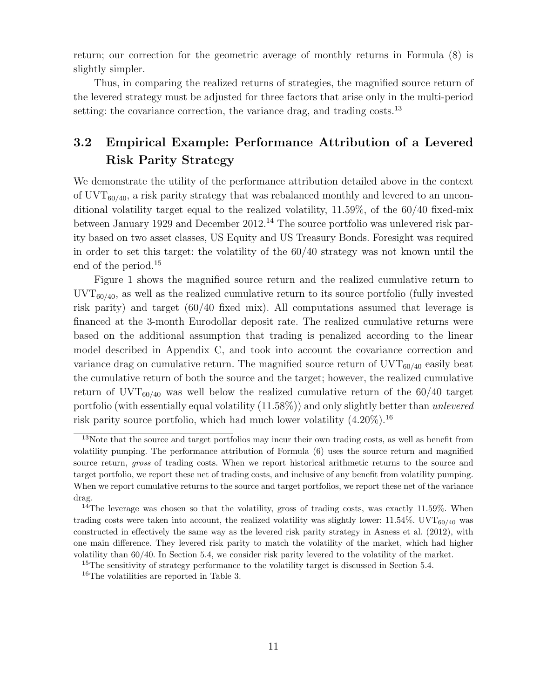return; our correction for the geometric average of monthly returns in Formula (8) is slightly simpler.

Thus, in comparing the realized returns of strategies, the magnified source return of the levered strategy must be adjusted for three factors that arise only in the multi-period setting: the covariance correction, the variance drag, and trading costs.<sup>13</sup>

## 3.2 Empirical Example: Performance Attribution of a Levered Risk Parity Strategy

We demonstrate the utility of the performance attribution detailed above in the context of  $\text{UVT}_{60/40}$ , a risk parity strategy that was rebalanced monthly and levered to an unconditional volatility target equal to the realized volatility, 11.59%, of the 60/40 fixed-mix between January 1929 and December 2012.<sup>14</sup> The source portfolio was unlevered risk parity based on two asset classes, US Equity and US Treasury Bonds. Foresight was required in order to set this target: the volatility of the 60/40 strategy was not known until the end of the period.<sup>15</sup>

Figure 1 shows the magnified source return and the realized cumulative return to  $\text{UVT}_{60/40}$ , as well as the realized cumulative return to its source portfolio (fully invested risk parity) and target (60/40 fixed mix). All computations assumed that leverage is financed at the 3-month Eurodollar deposit rate. The realized cumulative returns were based on the additional assumption that trading is penalized according to the linear model described in Appendix C, and took into account the covariance correction and variance drag on cumulative return. The magnified source return of  $UVT_{60/40}$  easily beat the cumulative return of both the source and the target; however, the realized cumulative return of UVT<sub>60/40</sub> was well below the realized cumulative return of the  $60/40$  target portfolio (with essentially equal volatility  $(11.58\%)$ ) and only slightly better than unlevered risk parity source portfolio, which had much lower volatility  $(4.20\%)$ .<sup>16</sup>

<sup>&</sup>lt;sup>13</sup>Note that the source and target portfolios may incur their own trading costs, as well as benefit from volatility pumping. The performance attribution of Formula (6) uses the source return and magnified source return, *gross* of trading costs. When we report historical arithmetic returns to the source and target portfolio, we report these net of trading costs, and inclusive of any benefit from volatility pumping. When we report cumulative returns to the source and target portfolios, we report these net of the variance drag.

<sup>&</sup>lt;sup>14</sup>The leverage was chosen so that the volatility, gross of trading costs, was exactly 11.59%. When trading costs were taken into account, the realized volatility was slightly lower:  $11.54\%$ . UVT<sub>60/40</sub> was constructed in effectively the same way as the levered risk parity strategy in Asness et al. (2012), with one main difference. They levered risk parity to match the volatility of the market, which had higher volatility than 60/40. In Section 5.4, we consider risk parity levered to the volatility of the market.

<sup>&</sup>lt;sup>15</sup>The sensitivity of strategy performance to the volatility target is discussed in Section 5.4.

<sup>16</sup>The volatilities are reported in Table 3.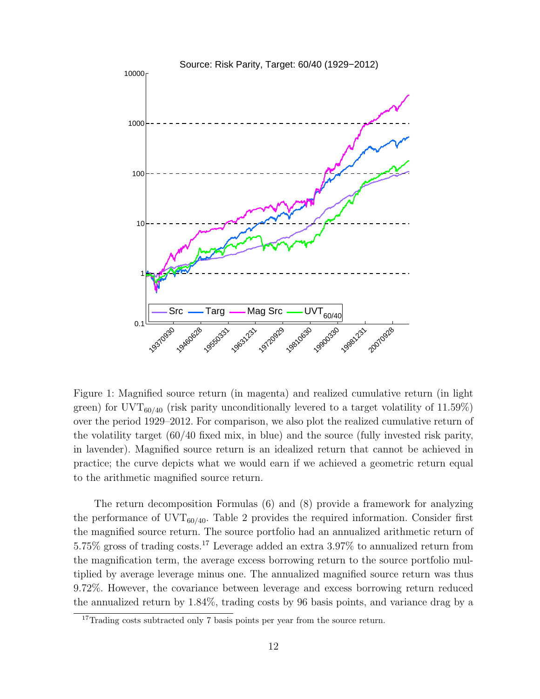

Figure 1: Magnified source return (in magenta) and realized cumulative return (in light green) for UVT<sub>60/40</sub> (risk parity unconditionally levered to a target volatility of 11.59%) over the period 1929–2012. For comparison, we also plot the realized cumulative return of the volatility target (60/40 fixed mix, in blue) and the source (fully invested risk parity, in lavender). Magnified source return is an idealized return that cannot be achieved in practice; the curve depicts what we would earn if we achieved a geometric return equal to the arithmetic magnified source return.

The return decomposition Formulas (6) and (8) provide a framework for analyzing the performance of  $\text{UVT}_{60/40}$ . Table 2 provides the required information. Consider first the magnified source return. The source portfolio had an annualized arithmetic return of 5.75% gross of trading costs.<sup>17</sup> Leverage added an extra 3.97% to annualized return from the magnification term, the average excess borrowing return to the source portfolio multiplied by average leverage minus one. The annualized magnified source return was thus 9.72%. However, the covariance between leverage and excess borrowing return reduced the annualized return by 1.84%, trading costs by 96 basis points, and variance drag by a

<sup>&</sup>lt;sup>17</sup>Trading costs subtracted only 7 basis points per year from the source return.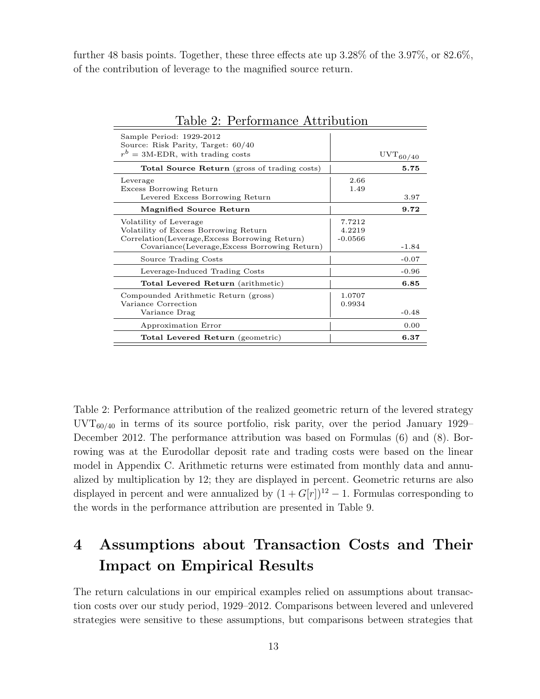further 48 basis points. Together, these three effects ate up 3.28% of the 3.97%, or 82.6%, of the contribution of leverage to the magnified source return.

| Sample Period: 1929-2012<br>Source: Risk Parity, Target: 60/40<br>$r^{b} = 3$ M-EDR, with trading costs                                                             |                               | $UVT_{60/40}$ |
|---------------------------------------------------------------------------------------------------------------------------------------------------------------------|-------------------------------|---------------|
| Total Source Return (gross of trading costs)                                                                                                                        |                               | 5.75          |
| Leverage<br>Excess Borrowing Return<br>Levered Excess Borrowing Return                                                                                              | 2.66<br>1.49                  | 3.97          |
| Magnified Source Return                                                                                                                                             |                               | 9.72          |
| Volatility of Leverage<br>Volatility of Excess Borrowing Return<br>Correlation (Leverage, Excess Borrowing Return)<br>Covariance(Leverage, Excess Borrowing Return) | 7.7212<br>4.2219<br>$-0.0566$ | $-1.84$       |
| Source Trading Costs                                                                                                                                                |                               | $-0.07$       |
| Leverage-Induced Trading Costs                                                                                                                                      |                               | $-0.96$       |
| Total Levered Return (arithmetic)                                                                                                                                   |                               | 6.85          |
| Compounded Arithmetic Return (gross)<br>Variance Correction<br>Variance Drag                                                                                        | 1.0707<br>0.9934              | $-0.48$       |
| Approximation Error                                                                                                                                                 |                               | 0.00          |
| Total Levered Return (geometric)                                                                                                                                    |                               | 6.37          |
|                                                                                                                                                                     |                               |               |

| Table 2: Performance Attribution |  |
|----------------------------------|--|
|                                  |  |

Table 2: Performance attribution of the realized geometric return of the levered strategy  $\text{UVT}_{60/40}$  in terms of its source portfolio, risk parity, over the period January 1929– December 2012. The performance attribution was based on Formulas (6) and (8). Borrowing was at the Eurodollar deposit rate and trading costs were based on the linear model in Appendix C. Arithmetic returns were estimated from monthly data and annualized by multiplication by 12; they are displayed in percent. Geometric returns are also displayed in percent and were annualized by  $(1 + G[r])^{12} - 1$ . Formulas corresponding to the words in the performance attribution are presented in Table 9.

# 4 Assumptions about Transaction Costs and Their Impact on Empirical Results

The return calculations in our empirical examples relied on assumptions about transaction costs over our study period, 1929–2012. Comparisons between levered and unlevered strategies were sensitive to these assumptions, but comparisons between strategies that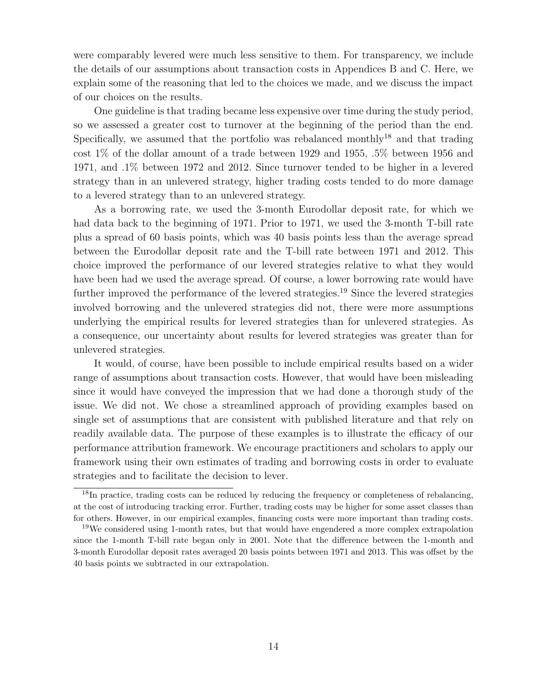were comparably levered were much less sensitive to them. For transparency, we include the details of our assumptions about transaction costs in Appendices B and C. Here, we explain some of the reasoning that led to the choices we made, and we discuss the impact of our choices on the results.

One guideline is that trading became less expensive over time during the study period, so we assessed a greater cost to turnover at the beginning of the period than the end. Specifically, we assumed that the portfolio was rebalanced monthly<sup>18</sup> and that trading cost 1% of the dollar amount of a trade between 1929 and 1955, .5% between 1956 and 1971, and .1% between 1972 and 2012. Since turnover tended to be higher in a levered strategy than in an unlevered strategy, higher trading costs tended to do more damage to a levered strategy than to an unlevered strategy.

As a borrowing rate, we used the 3-month Eurodollar deposit rate, for which we had data back to the beginning of 1971. Prior to 1971, we used the 3-month T-bill rate plus a spread of 60 basis points, which was 40 basis points less than the average spread between the Eurodollar deposit rate and the T-bill rate between 1971 and 2012. This choice improved the performance of our levered strategies relative to what they would have been had we used the average spread. Of course, a lower borrowing rate would have further improved the performance of the levered strategies.<sup>19</sup> Since the levered strategies involved borrowing and the unlevered strategies did not, there were more assumptions underlying the empirical results for levered strategies than for unlevered strategies. As a consequence, our uncertainty about results for levered strategies was greater than for unlevered strategies.

It would, of course, have been possible to include empirical results based on a wider range of assumptions about transaction costs. However, that would have been misleading since it would have conveyed the impression that we had done a thorough study of the issue. We did not. We chose a streamlined approach of providing examples based on single set of assumptions that are consistent with published literature and that rely on readily available data. The purpose of these examples is to illustrate the efficacy of our performance attribution framework. We encourage practitioners and scholars to apply our framework using their own estimates of trading and borrowing costs in order to evaluate strategies and to facilitate the decision to lever.

 $18$ In practice, trading costs can be reduced by reducing the frequency or completeness of rebalancing, at the cost of introducing tracking error. Further, trading costs may be higher for some asset classes than for others. However, in our empirical examples, financing costs were more important than trading costs.

<sup>&</sup>lt;sup>19</sup>We considered using 1-month rates, but that would have engendered a more complex extrapolation since the 1-month T-bill rate began only in 2001. Note that the difference between the 1-month and 3-month Eurodollar deposit rates averaged 20 basis points between 1971 and 2013. This was offset by the 40 basis points we subtracted in our extrapolation.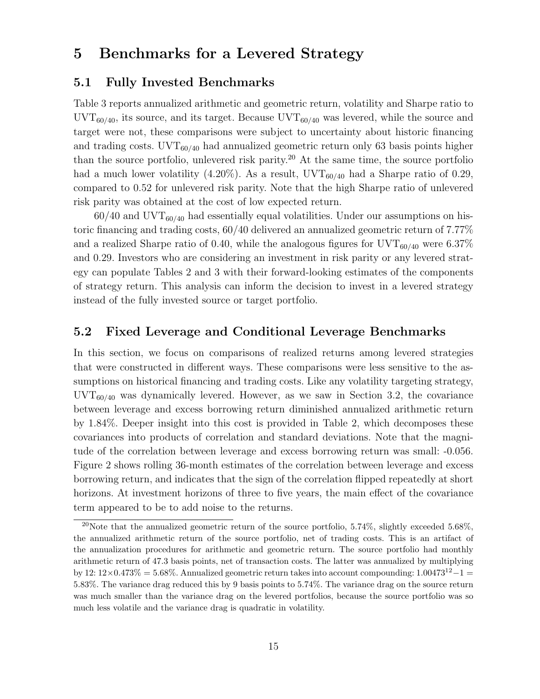## 5 Benchmarks for a Levered Strategy

### 5.1 Fully Invested Benchmarks

Table 3 reports annualized arithmetic and geometric return, volatility and Sharpe ratio to  $\text{UVT}_{60/40}$ , its source, and its target. Because  $\text{UVT}_{60/40}$  was levered, while the source and target were not, these comparisons were subject to uncertainty about historic financing and trading costs.  $\text{UVT}_{60/40}$  had annualized geometric return only 63 basis points higher than the source portfolio, unlevered risk parity.<sup>20</sup> At the same time, the source portfolio had a much lower volatility (4.20%). As a result,  $UVT_{60/40}$  had a Sharpe ratio of 0.29, compared to 0.52 for unlevered risk parity. Note that the high Sharpe ratio of unlevered risk parity was obtained at the cost of low expected return.

 $60/40$  and UVT<sub>60/40</sub> had essentially equal volatilities. Under our assumptions on historic financing and trading costs, 60/40 delivered an annualized geometric return of 7.77% and a realized Sharpe ratio of 0.40, while the analogous figures for  $\text{UVT}_{60/40}$  were 6.37% and 0.29. Investors who are considering an investment in risk parity or any levered strategy can populate Tables 2 and 3 with their forward-looking estimates of the components of strategy return. This analysis can inform the decision to invest in a levered strategy instead of the fully invested source or target portfolio.

### 5.2 Fixed Leverage and Conditional Leverage Benchmarks

In this section, we focus on comparisons of realized returns among levered strategies that were constructed in different ways. These comparisons were less sensitive to the assumptions on historical financing and trading costs. Like any volatility targeting strategy,  $\text{UVT}_{60/40}$  was dynamically levered. However, as we saw in Section 3.2, the covariance between leverage and excess borrowing return diminished annualized arithmetic return by 1.84%. Deeper insight into this cost is provided in Table 2, which decomposes these covariances into products of correlation and standard deviations. Note that the magnitude of the correlation between leverage and excess borrowing return was small: -0.056. Figure 2 shows rolling 36-month estimates of the correlation between leverage and excess borrowing return, and indicates that the sign of the correlation flipped repeatedly at short horizons. At investment horizons of three to five years, the main effect of the covariance term appeared to be to add noise to the returns.

<sup>&</sup>lt;sup>20</sup>Note that the annualized geometric return of the source portfolio, 5.74%, slightly exceeded 5.68%, the annualized arithmetic return of the source portfolio, net of trading costs. This is an artifact of the annualization procedures for arithmetic and geometric return. The source portfolio had monthly arithmetic return of 47.3 basis points, net of transaction costs. The latter was annualized by multiplying by 12:  $12\times0.473\% = 5.68\%$ . Annualized geometric return takes into account compounding:  $1.00473^{12} - 1 =$ 5.83%. The variance drag reduced this by 9 basis points to 5.74%. The variance drag on the source return was much smaller than the variance drag on the levered portfolios, because the source portfolio was so much less volatile and the variance drag is quadratic in volatility.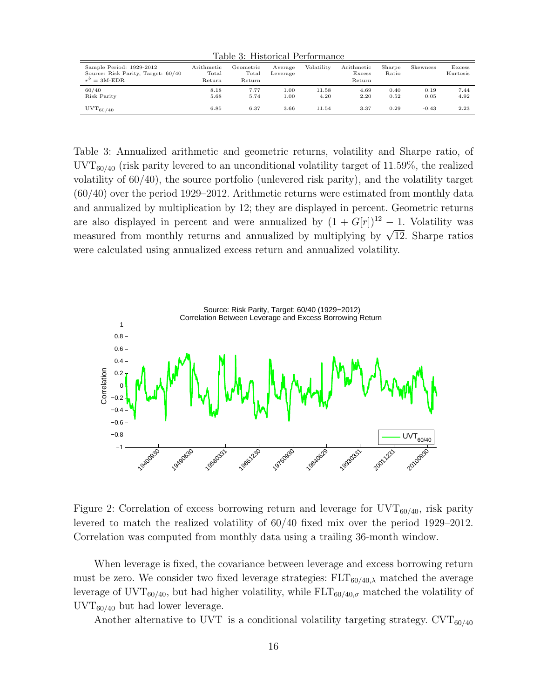|                                                                                   |                               | Table 3: Historical Performance |                     |               |                                |                 |              |                    |
|-----------------------------------------------------------------------------------|-------------------------------|---------------------------------|---------------------|---------------|--------------------------------|-----------------|--------------|--------------------|
| Sample Period: 1929-2012<br>Source: Risk Parity, Target: 60/40<br>$r^b = 3$ M-EDR | Arithmetic<br>Total<br>Return | Geometric<br>Total<br>Return    | Average<br>Leverage | Volatility    | Arithmetic<br>Excess<br>Return | Sharpe<br>Ratio | Skewness     | Excess<br>Kurtosis |
| 60/40<br>Risk Parity                                                              | 8.18<br>5.68                  | 7.77<br>5.74                    | 1.00<br>1.00        | 11.58<br>4.20 | 4.69<br>2.20                   | 0.40<br>0.52    | 0.19<br>0.05 | 7.44<br>4.92       |
| $UVT_{60/40}$                                                                     | 6.85                          | 6.37                            | 3.66                | 11.54         | 3.37                           | 0.29            | $-0.43$      | 2.23               |

Table 3: Annualized arithmetic and geometric returns, volatility and Sharpe ratio, of  $\text{UVT}_{60/40}$  (risk parity levered to an unconditional volatility target of 11.59%, the realized volatility of 60/40), the source portfolio (unlevered risk parity), and the volatility target (60/40) over the period 1929–2012. Arithmetic returns were estimated from monthly data and annualized by multiplication by 12; they are displayed in percent. Geometric returns are also displayed in percent and were annualized by  $(1 + G[r])^{12} - 1$ . Volatility was measured from monthly returns and annualized by multiplying by  $\sqrt{12}$ . Sharpe ratios were calculated using annualized excess return and annualized volatility.



Correlation was computed from monthly data using a trailing 36-month window. 20 levered to match the realized volatility of 60/40 fixed mix over the period 1929–2012. Figure 2: Correlation of excess borrowing return and leverage for  $\text{UVT}_{60/40}$ , risk parity

 $\text{UVT}_{60/40}$  but had lower leverage. leverage of UVT<sub>60/40</sub>, but had higher volatility, while  $\text{ELT}_{60/40,\sigma}$  matched the volatility of must be zero. We consider two fixed leverage strategies:  $FLT_{60/40,\lambda}$  matched the average −40 Vh<br>be When leverage is fixed, the covariance between leverage and excess borrowing return

Another alternative to UVT is a conditional volatility targeting strategy. CVT<sub>60/40</sub><br> $\sqrt{\frac{1}{100}}$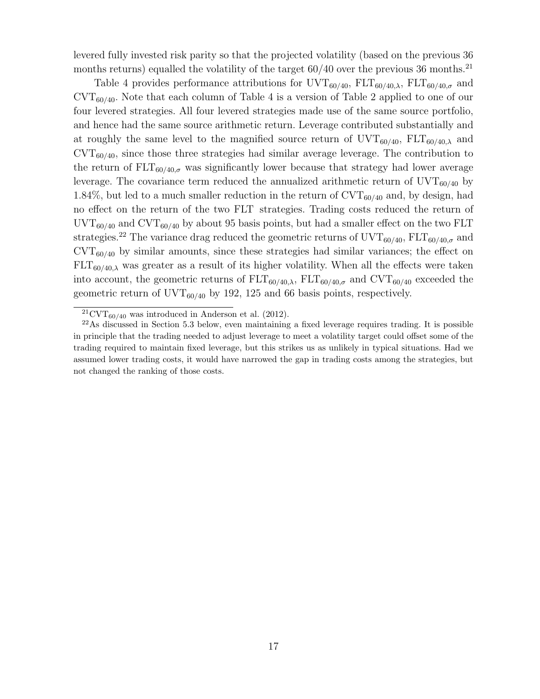levered fully invested risk parity so that the projected volatility (based on the previous 36 months returns) equalled the volatility of the target  $60/40$  over the previous 36 months.<sup>21</sup>

Table 4 provides performance attributions for  $\text{UVT}_{60/40}$ ,  $\text{ELT}_{60/40,\lambda}$ ,  $\text{ELT}_{60/40,\sigma}$  and  $\text{CVT}_{60/40}$ . Note that each column of Table 4 is a version of Table 2 applied to one of our four levered strategies. All four levered strategies made use of the same source portfolio, and hence had the same source arithmetic return. Leverage contributed substantially and at roughly the same level to the magnified source return of  $UVT_{60/40}$ ,  $FLT_{60/40,\lambda}$  and  $\text{CVT}_{60/40}$ , since those three strategies had similar average leverage. The contribution to the return of  $\text{ELT}_{60/40,\sigma}$  was significantly lower because that strategy had lower average leverage. The covariance term reduced the annualized arithmetic return of  $UVT_{60/40}$  by 1.84%, but led to a much smaller reduction in the return of  $\text{CVT}_{60/40}$  and, by design, had no effect on the return of the two FLT strategies. Trading costs reduced the return of  $\text{UVT}_{60/40}$  and  $\text{CVT}_{60/40}$  by about 95 basis points, but had a smaller effect on the two FLT strategies.<sup>22</sup> The variance drag reduced the geometric returns of  $\text{UVT}_{60/40}$ ,  $\text{ELT}_{60/40,\sigma}$  and  $\text{CVT}_{60/40}$  by similar amounts, since these strategies had similar variances; the effect on  $FLT_{60/40,\lambda}$  was greater as a result of its higher volatility. When all the effects were taken into account, the geometric returns of  $\text{ELT}_{60/40,\lambda}$ ,  $\text{ELT}_{60/40,\sigma}$  and  $\text{CVT}_{60/40}$  exceeded the geometric return of  $\text{UVT}_{60/40}$  by 192, 125 and 66 basis points, respectively.

 ${}^{21}$ CVT<sub>60/40</sub> was introduced in Anderson et al. (2012).

<sup>22</sup>As discussed in Section 5.3 below, even maintaining a fixed leverage requires trading. It is possible in principle that the trading needed to adjust leverage to meet a volatility target could offset some of the trading required to maintain fixed leverage, but this strikes us as unlikely in typical situations. Had we assumed lower trading costs, it would have narrowed the gap in trading costs among the strategies, but not changed the ranking of those costs.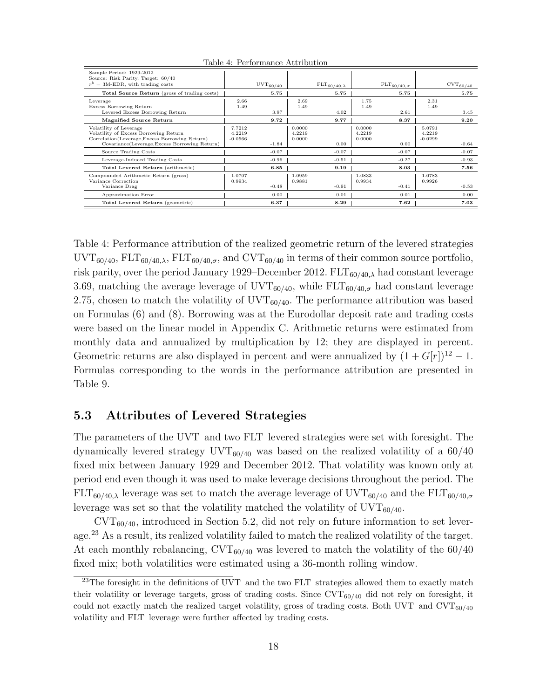| Sample Period: 1929-2012<br>Source: Risk Parity, Target: 60/40                                                                                                     |                               |                      |                            |                                |                            |                             |                               |                        |
|--------------------------------------------------------------------------------------------------------------------------------------------------------------------|-------------------------------|----------------------|----------------------------|--------------------------------|----------------------------|-----------------------------|-------------------------------|------------------------|
| $r^{b}$ = 3M-EDR, with trading costs                                                                                                                               |                               | $_{\rm UVT_{60/40}}$ |                            | $\mathrm{FLT}_{60/40,\lambda}$ |                            | $\text{FLT}_{60/40,\sigma}$ |                               | $\mathrm{CVT}_{60/40}$ |
| Total Source Return (gross of trading costs)                                                                                                                       |                               | 5.75                 |                            | 5.75                           |                            | 5.75                        |                               | 5.75                   |
| Leverage<br>Excess Borrowing Return<br>Levered Excess Borrowing Return                                                                                             | 2.66<br>1.49                  | 3.97                 | 2.69<br>1.49               | 4.02                           | 1.75<br>1.49               | 2.61                        | 2.31<br>1.49                  | 3.45                   |
| <b>Magnified Source Return</b>                                                                                                                                     |                               | 9.72                 |                            | 9.77                           |                            | 8.37                        |                               | 9.20                   |
| Volatility of Leverage<br>Volatility of Excess Borrowing Return<br>Correlation(Leverage, Excess Borrowing Return)<br>Covariance(Leverage, Excess Borrowing Return) | 7.7212<br>4.2219<br>$-0.0566$ | $-1.84$              | 0.0000<br>4.2219<br>0.0000 | 0.00                           | 0.0000<br>4.2219<br>0.0000 | 0.00                        | 5.0791<br>4.2219<br>$-0.0299$ | $-0.64$                |
| Source Trading Costs                                                                                                                                               |                               | $-0.07$              |                            | $-0.07$                        |                            | $-0.07$                     |                               | $-0.07$                |
| Leverage-Induced Trading Costs                                                                                                                                     |                               | $-0.96$              |                            | $-0.51$                        |                            | $-0.27$                     |                               | $-0.93$                |
| Total Levered Return (arithmetic)                                                                                                                                  |                               | 6.85                 |                            | 9.19                           |                            | 8.03                        |                               | 7.56                   |
| Compounded Arithmetic Return (gross)<br>Variance Correction<br>Variance Drag                                                                                       | 1.0707<br>0.9934              | $-0.48$              | 1.0959<br>0.9881           | $-0.91$                        | 1.0833<br>0.9934           | $-0.41$                     | 1.0783<br>0.9926              | $-0.53$                |
| Approximation Error                                                                                                                                                |                               | 0.00                 |                            | 0.01                           |                            | 0.01                        |                               | 0.00                   |
| Total Levered Return (geometric)                                                                                                                                   |                               | 6.37                 |                            | 8.29                           |                            | 7.62                        |                               | 7.03                   |

Table 4: Performance Attribution

Table 4: Performance attribution of the realized geometric return of the levered strategies  $\text{UVT}_{60/40}$ ,  $\text{ELT}_{60/40,\lambda}$ ,  $\text{ELT}_{60/40,\sigma}$ , and  $\text{CVT}_{60/40}$  in terms of their common source portfolio, risk parity, over the period January 1929–December 2012.  $FLT_{60/40,\lambda}$  had constant leverage 3.69, matching the average leverage of  $\text{UVT}_{60/40}$ , while  $\text{ELT}_{60/40,\sigma}$  had constant leverage 2.75, chosen to match the volatility of  $\text{UVT}_{60/40}$ . The performance attribution was based on Formulas (6) and (8). Borrowing was at the Eurodollar deposit rate and trading costs were based on the linear model in Appendix C. Arithmetic returns were estimated from monthly data and annualized by multiplication by 12; they are displayed in percent. Geometric returns are also displayed in percent and were annualized by  $(1 + G[r])^{12} - 1$ . Formulas corresponding to the words in the performance attribution are presented in Table 9.

### 5.3 Attributes of Levered Strategies

The parameters of the UVT and two FLT levered strategies were set with foresight. The dynamically levered strategy  $\text{UVT}_{60/40}$  was based on the realized volatility of a 60/40 fixed mix between January 1929 and December 2012. That volatility was known only at period end even though it was used to make leverage decisions throughout the period. The  $FLT_{60/40,\lambda}$  leverage was set to match the average leverage of  $\text{UVT}_{60/40}$  and the  $\text{FLT}_{60/40,\sigma}$ leverage was set so that the volatility matched the volatility of  $\text{UVT}_{60/40}$ .

 $\text{CVT}_{60/40}$ , introduced in Section 5.2, did not rely on future information to set leverage.<sup>23</sup> As a result, its realized volatility failed to match the realized volatility of the target. At each monthly rebalancing,  $\text{CVT}_{60/40}$  was levered to match the volatility of the 60/40 fixed mix; both volatilities were estimated using a 36-month rolling window.

<sup>&</sup>lt;sup>23</sup>The foresight in the definitions of UVT and the two FLT strategies allowed them to exactly match their volatility or leverage targets, gross of trading costs. Since  $\text{CVT}_{60/40}$  did not rely on foresight, it could not exactly match the realized target volatility, gross of trading costs. Both UVT and  $\text{CVT}_{60/40}$ volatility and FLT leverage were further affected by trading costs.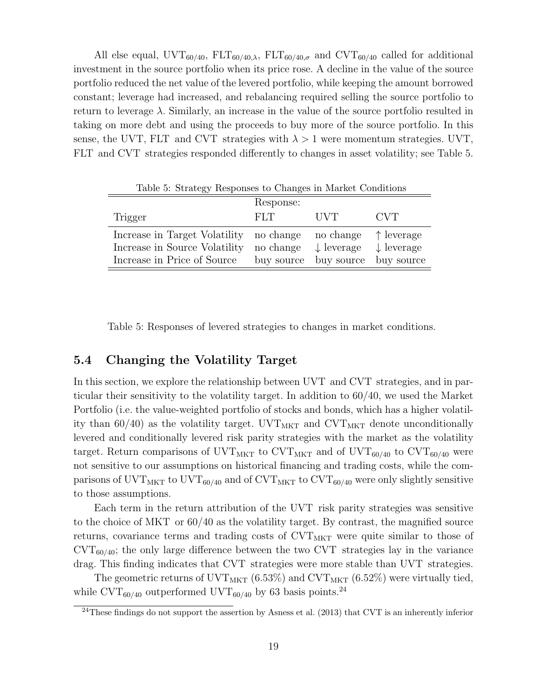All else equal,  $\text{UVT}_{60/40}$ ,  $\text{ELT}_{60/40,\lambda}$ ,  $\text{ELT}_{60/40,\sigma}$  and  $\text{CVT}_{60/40}$  called for additional investment in the source portfolio when its price rose. A decline in the value of the source portfolio reduced the net value of the levered portfolio, while keeping the amount borrowed constant; leverage had increased, and rebalancing required selling the source portfolio to return to leverage  $\lambda$ . Similarly, an increase in the value of the source portfolio resulted in taking on more debt and using the proceeds to buy more of the source portfolio. In this sense, the UVT, FLT and CVT strategies with  $\lambda > 1$  were momentum strategies. UVT, FLT and CVT strategies responded differently to changes in asset volatility; see Table 5.

|                               | Response:  |                       |                       |
|-------------------------------|------------|-----------------------|-----------------------|
| Trigger                       | FLT.       | <b>IIVT</b>           | <b>CVT</b>            |
| Increase in Target Volatility | no change  | no change             | $\uparrow$ leverage   |
| Increase in Source Volatility | no change  | $\downarrow$ leverage | $\downarrow$ leverage |
| Increase in Price of Source   | buy source | buy source            | buy source            |

Table 5: Strategy Responses to Changes in Market Conditions

Table 5: Responses of levered strategies to changes in market conditions.

### 5.4 Changing the Volatility Target

In this section, we explore the relationship between UVT and CVT strategies, and in particular their sensitivity to the volatility target. In addition to 60/40, we used the Market Portfolio (i.e. the value-weighted portfolio of stocks and bonds, which has a higher volatility than 60/40) as the volatility target. UVT<sub>MKT</sub> and CVT<sub>MKT</sub> denote unconditionally levered and conditionally levered risk parity strategies with the market as the volatility target. Return comparisons of UVT<sub>MKT</sub> to CVT<sub>MKT</sub> and of UVT<sub>60/40</sub> to CVT<sub>60/40</sub> were not sensitive to our assumptions on historical financing and trading costs, while the comparisons of UVT<sub>MKT</sub> to UVT<sub>60/40</sub> and of CVT<sub>MKT</sub> to CVT<sub>60/40</sub> were only slightly sensitive to those assumptions.

Each term in the return attribution of the UVT risk parity strategies was sensitive to the choice of MKT or 60/40 as the volatility target. By contrast, the magnified source returns, covariance terms and trading costs of  $\text{CVT}_{\text{MKT}}$  were quite similar to those of  $\text{CVT}_{60/40}$ ; the only large difference between the two CVT strategies lay in the variance drag. This finding indicates that CVT strategies were more stable than UVT strategies.

The geometric returns of UVT<sub>MKT</sub> (6.53%) and CVT<sub>MKT</sub> (6.52%) were virtually tied, while CVT<sub>60/40</sub> outperformed UVT<sub>60/40</sub> by 63 basis points.<sup>24</sup>

 $^{24}$ These findings do not support the assertion by Asness et al. (2013) that CVT is an inherently inferior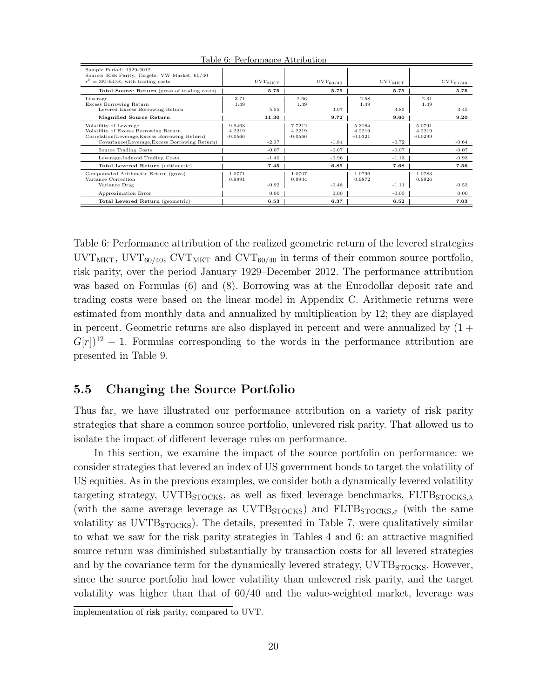| Sample Period: 1929-2012<br>Source: Risk Parity, Targets: VW Market, 60/40<br>$r^{b} = 3$ M-EDR, with trading costs                                                |                               | $_{\rm UVT_{\rm MKT}}$ |                               | $_{\rm UVT_{60/40}}$ |                               | $_{\rm CVT_{\rm MKT}}$ |                               | $\mathrm{CVT}_{60/40}$ |
|--------------------------------------------------------------------------------------------------------------------------------------------------------------------|-------------------------------|------------------------|-------------------------------|----------------------|-------------------------------|------------------------|-------------------------------|------------------------|
| Total Source Return (gross of trading costs)                                                                                                                       |                               | 5.75                   |                               | 5.75                 |                               | 5.75                   |                               | 5.75                   |
| Leverage<br>Excess Borrowing Return<br>Levered Excess Borrowing Return                                                                                             | 3.71<br>1.49                  | 5.55                   | 2.66<br>1.49                  | 3.97                 | 2.58<br>1.49                  | 3.85                   | 2.31<br>1.49                  | 3.45                   |
| <b>Magnified Source Return</b>                                                                                                                                     |                               | 11.30                  |                               | 9.72                 |                               | 9.60                   |                               | 9.20                   |
| Volatility of Leverage<br>Volatility of Excess Borrowing Return<br>Correlation(Leverage, Excess Borrowing Return)<br>Covariance(Leverage, Excess Borrowing Return) | 9.9463<br>4.2219<br>$-0.0566$ | $-2.37$                | 7.7212<br>4.2219<br>$-0.0566$ | $-1.84$              | 5.3164<br>4.2219<br>$-0.0321$ | $-0.72$                | 5.0791<br>4.2219<br>$-0.0299$ | $-0.64$                |
| Source Trading Costs                                                                                                                                               |                               | $-0.07$                |                               | $-0.07$              |                               | $-0.07$                |                               | $-0.07$                |
| Leverage-Induced Trading Costs                                                                                                                                     |                               | $-1.40$                |                               | $-0.96$              |                               | $-1.13$                |                               | $-0.93$                |
| Total Levered Return (arithmetic)                                                                                                                                  |                               | 7.45                   |                               | 6.85                 |                               | 7.68                   |                               | 7.56                   |
| Compounded Arithmetic Return (gross)<br>Variance Correction<br>Variance Drag                                                                                       | 1.0771<br>0.9891              | $-0.92$                | 1.0707<br>0.9934              | $-0.48$              | 1.0796<br>0.9872              | $-1.11$                | 1.0783<br>0.9926              | $-0.53$                |
| Approximation Error                                                                                                                                                |                               | 0.00                   |                               | 0.00                 |                               | $-0.05$                |                               | 0.00                   |
| Total Levered Return (geometric)                                                                                                                                   |                               | 6.53                   |                               | 6.37                 |                               | 6.52                   |                               | 7.03                   |

Table 6: Performance Attribution

Table 6: Performance attribution of the realized geometric return of the levered strategies  $\text{UVT}_{\text{MKT}}$ ,  $\text{UVT}_{60/40}$ ,  $\text{CVT}_{\text{MKT}}$  and  $\text{CVT}_{60/40}$  in terms of their common source portfolio, risk parity, over the period January 1929–December 2012. The performance attribution was based on Formulas (6) and (8). Borrowing was at the Eurodollar deposit rate and trading costs were based on the linear model in Appendix C. Arithmetic returns were estimated from monthly data and annualized by multiplication by 12; they are displayed in percent. Geometric returns are also displayed in percent and were annualized by  $(1 +$  $G[r]$ <sup>12</sup> − 1. Formulas corresponding to the words in the performance attribution are presented in Table 9.

### 5.5 Changing the Source Portfolio

Thus far, we have illustrated our performance attribution on a variety of risk parity strategies that share a common source portfolio, unlevered risk parity. That allowed us to isolate the impact of different leverage rules on performance.

In this section, we examine the impact of the source portfolio on performance: we consider strategies that levered an index of US government bonds to target the volatility of US equities. As in the previous examples, we consider both a dynamically levered volatility targeting strategy, UVTB $_{STOCKS}$ , as well as fixed leverage benchmarks,  $FLTB<sub>STOCKS</sub>$ , (with the same average leverage as  $\text{UVTB}_{\text{STOCKS}}$ ) and  $\text{FLTB}_{\text{STOCKS},\sigma}$  (with the same volatility as UVTB<sub>STOCKS</sub>). The details, presented in Table 7, were qualitatively similar to what we saw for the risk parity strategies in Tables 4 and 6: an attractive magnified source return was diminished substantially by transaction costs for all levered strategies and by the covariance term for the dynamically levered strategy,  $\text{UVTB}_{\text{STOCKS}}$ . However, since the source portfolio had lower volatility than unlevered risk parity, and the target volatility was higher than that of 60/40 and the value-weighted market, leverage was

implementation of risk parity, compared to UVT.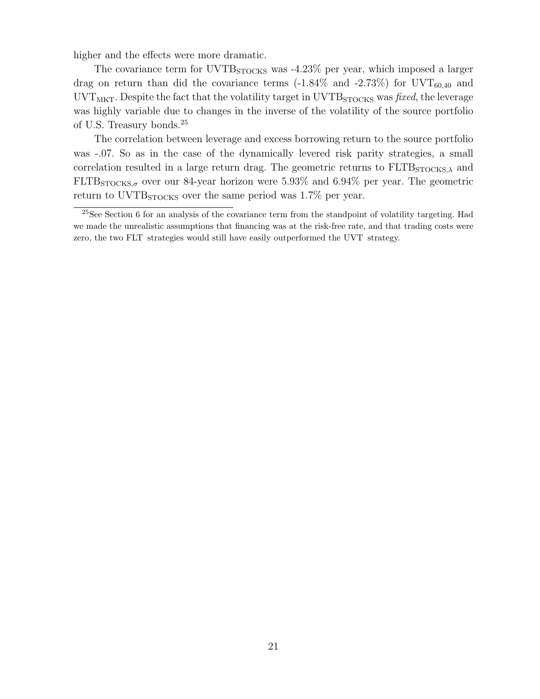higher and the effects were more dramatic.

The covariance term for  $UVTB<sub>STOCKS</sub>$  was  $-4.23\%$  per year, which imposed a larger drag on return than did the covariance terms  $(-1.84\%$  and  $-2.73\%)$  for UVT<sub>60.40</sub> and  $\text{UVT}_{\text{MKT}}$ . Despite the fact that the volatility target in  $\text{UVTB}_{\text{STOCKS}}$  was fixed, the leverage was highly variable due to changes in the inverse of the volatility of the source portfolio of U.S. Treasury bonds.<sup>25</sup>

The correlation between leverage and excess borrowing return to the source portfolio was -.07. So as in the case of the dynamically levered risk parity strategies, a small correlation resulted in a large return drag. The geometric returns to  $\text{FLTB}_{\text{STOCKS},\lambda}$  and  $FLTB<sub>STOCKS, \sigma</sub>$  over our 84-year horizon were 5.93% and 6.94% per year. The geometric return to UVTB<sub>STOCKS</sub> over the same period was 1.7% per year.

<sup>&</sup>lt;sup>25</sup>See Section 6 for an analysis of the covariance term from the standpoint of volatility targeting. Had we made the unrealistic assumptions that financing was at the risk-free rate, and that trading costs were zero, the two FLT strategies would still have easily outperformed the UVT strategy.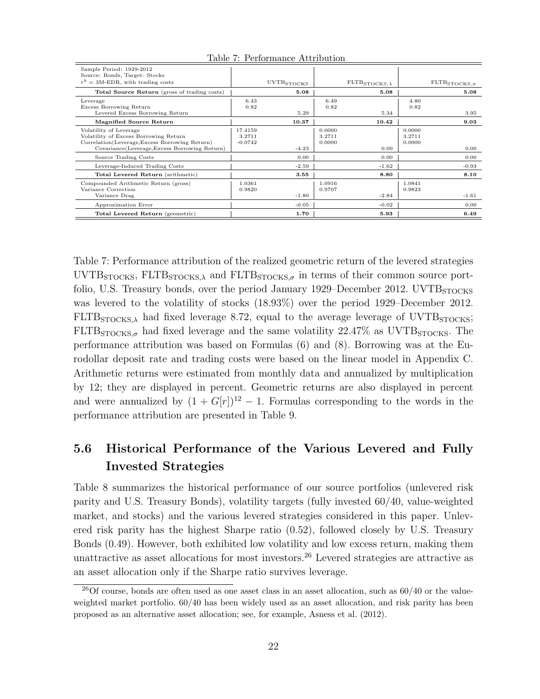| Sample Period: 1929-2012                       |           |                        |        |                                           |        |                                          |
|------------------------------------------------|-----------|------------------------|--------|-------------------------------------------|--------|------------------------------------------|
| Source: Bonds, Target: Stocks                  |           |                        |        |                                           |        |                                          |
| $r^{b} = 3$ M-EDR, with trading costs          |           | $_{\rm UVTB_{STOCKS}}$ |        | $\texttt{FLTB}_{\texttt{STOCKS},\lambda}$ |        | $\textsc{FLTB}_{\textsc{STOCKS},\sigma}$ |
|                                                |           |                        |        |                                           |        |                                          |
| Total Source Return (gross of trading costs)   |           | 5.08                   |        | 5.08                                      |        | 5.08                                     |
| Leverage                                       | 6.43      |                        | 6.49   |                                           | 4.80   |                                          |
| Excess Borrowing Return                        | 0.82      |                        | 0.82   |                                           | 0.82   |                                          |
| Levered Excess Borrowing Return                |           | 5.29                   |        | 5.34                                      |        | 3.95                                     |
| <b>Magnified Source Return</b>                 |           | 10.37                  |        | 10.42                                     |        | 9.03                                     |
| Volatility of Leverage                         | 17.4159   |                        | 0.0000 |                                           | 0.0000 |                                          |
| Volatility of Excess Borrowing Return          | 3.2711    |                        | 3.2711 |                                           | 3.2711 |                                          |
| Correlation(Leverage, Excess Borrowing Return) | $-0.0742$ |                        | 0.0000 |                                           | 0.0000 |                                          |
| Covariance(Leverage, Excess Borrowing Return)  |           | $-4.23$                |        | 0.00                                      |        | 0.00                                     |
| Source Trading Costs                           |           | 0.00                   |        | 0.00                                      |        | 0.00                                     |
| Leverage-Induced Trading Costs                 |           | $-2.59$                |        | $-1.62$                                   |        | $-0.93$                                  |
| Total Levered Return (arithmetic)              |           | 3.55                   |        | 8.80                                      |        | 8.10                                     |
| Compounded Arithmetic Return (gross)           | 1.0361    |                        | 1.0916 |                                           | 1.0841 |                                          |
| Variance Correction                            | 0.9820    |                        | 0.9707 |                                           | 0.9823 |                                          |
| Variance Drag                                  |           | $-1.80$                |        | $-2.84$                                   |        | $-1.61$                                  |
| Approximation Error                            |           | $-0.05$                |        | $-0.02$                                   |        | 0.00                                     |
| Total Levered Return (geometric)               |           | 1.70                   |        | 5.93                                      |        | 6.49                                     |

Table 7: Performance Attribution

Table 7: Performance attribution of the realized geometric return of the levered strategies  $\text{UVTB}_{\text{STOCKS}}$ ,  $\text{FLTB}_{\text{STOCKS},\lambda}$  and  $\text{FLTB}_{\text{STOCKS},\sigma}$  in terms of their common source portfolio, U.S. Treasury bonds, over the period January 1929–December 2012. UVTB<sub>STOCKS</sub> was levered to the volatility of stocks (18.93%) over the period 1929–December 2012.  $FLTB<sub>STOCKS</sub>$ , had fixed leverage 8.72, equal to the average leverage of UVTB $<sub>STOCKS</sub>$ ;</sub>  $FLTB<sub>STOCKS,\sigma</sub>$  had fixed leverage and the same volatility 22.47% as UVTB $_{STOCKS}$ . The performance attribution was based on Formulas (6) and (8). Borrowing was at the Eurodollar deposit rate and trading costs were based on the linear model in Appendix C. Arithmetic returns were estimated from monthly data and annualized by multiplication by 12; they are displayed in percent. Geometric returns are also displayed in percent and were annualized by  $(1 + G[r])^{12} - 1$ . Formulas corresponding to the words in the performance attribution are presented in Table 9.

## 5.6 Historical Performance of the Various Levered and Fully Invested Strategies

Table 8 summarizes the historical performance of our source portfolios (unlevered risk parity and U.S. Treasury Bonds), volatility targets (fully invested 60/40, value-weighted market, and stocks) and the various levered strategies considered in this paper. Unlevered risk parity has the highest Sharpe ratio (0.52), followed closely by U.S. Treasury Bonds (0.49). However, both exhibited low volatility and low excess return, making them unattractive as asset allocations for most investors.<sup>26</sup> Levered strategies are attractive as an asset allocation only if the Sharpe ratio survives leverage.

 $26$ Of course, bonds are often used as one asset class in an asset allocation, such as  $60/40$  or the valueweighted market portfolio. 60/40 has been widely used as an asset allocation, and risk parity has been proposed as an alternative asset allocation; see, for example, Asness et al. (2012).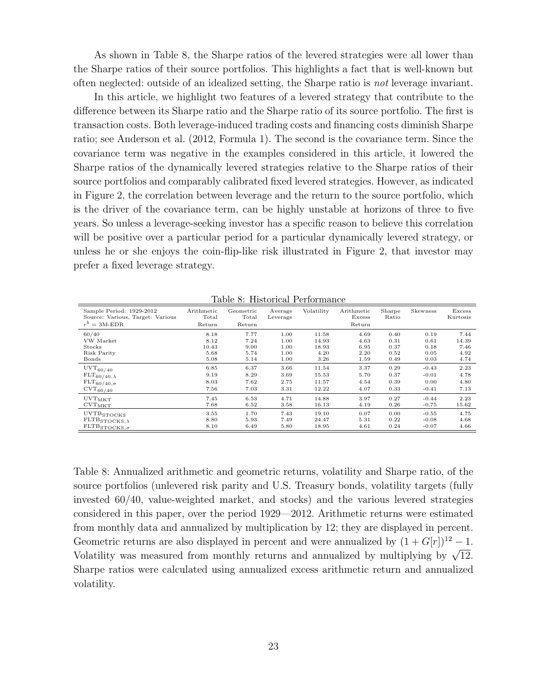As shown in Table 8, the Sharpe ratios of the levered strategies were all lower than the Sharpe ratios of their source portfolios. This highlights a fact that is well-known but often neglected: outside of an idealized setting, the Sharpe ratio is not leverage invariant.

In this article, we highlight two features of a levered strategy that contribute to the difference between its Sharpe ratio and the Sharpe ratio of its source portfolio. The first is transaction costs. Both leverage-induced trading costs and financing costs diminish Sharpe ratio; see Anderson et al. (2012, Formula 1). The second is the covariance term. Since the covariance term was negative in the examples considered in this article, it lowered the Sharpe ratios of the dynamically levered strategies relative to the Sharpe ratios of their source portfolios and comparably calibrated fixed levered strategies. However, as indicated in Figure 2, the correlation between leverage and the return to the source portfolio, which is the driver of the covariance term, can be highly unstable at horizons of three to five years. So unless a leverage-seeking investor has a specific reason to believe this correlation will be positive over a particular period for a particular dynamically levered strategy, or unless he or she enjoys the coin-flip-like risk illustrated in Figure 2, that investor may prefer a fixed leverage strategy.

Table 8: Historical Performance

| Sample Period: 1929-2012<br>Source: Various, Target: Various<br>$r^b = 3M$ -EDR | Arithmetic<br>Total<br>Return | Geometric<br>Total<br>Return | Average<br>Leverage | Volatility     | Arithmetic<br>Excess<br>Return | Sharpe<br>Ratio | Skewness     | Excess<br>Kurtosis |
|---------------------------------------------------------------------------------|-------------------------------|------------------------------|---------------------|----------------|--------------------------------|-----------------|--------------|--------------------|
| 60/40                                                                           | 8.18                          | 7.77                         | 1.00                | 11.58          | 4.69                           | 0.40            | 0.19         | 7.44               |
| VW Market<br>Stocks                                                             | 8.12<br>10.43                 | 7.24                         | 1.00<br>1.00        | 14.93<br>18.93 | 4.63<br>6.95                   | 0.31            | 0.61         | 14.39<br>7.46      |
| Risk Parity                                                                     | 5.68                          | 9.00<br>5.74                 | 1.00                | 4.20           | 2.20                           | 0.37<br>0.52    | 0.18<br>0.05 | 4.92               |
| Bonds                                                                           | 5.08                          | 5.14                         | 1.00                | 3.26           | 1.59                           | 0.49            | 0.03         | 4.74               |
| $_{\rm UVT_{60/40}}$                                                            | 6.85                          | 6.37                         | 3.66                | 11.54          | 3.37                           | 0.29            | $-0.43$      | 2.23               |
| $\text{FLT}_{60/40,\lambda}$                                                    | 9.19                          | 8.29                         | 3.69                | 15.53          | 5.70                           | 0.37            | $-0.01$      | 4.78               |
| $\text{FLT}_{60/40,\sigma}$                                                     | 8.03                          | 7.62                         | 2.75                | 11.57          | 4.54                           | 0.39            | 0.00         | 4.80               |
| $\mathrm{CVT}_{6\underline{0}/4\underline{0}}$                                  | 7.56                          | 7.03                         | 3.31                | 12.22          | 4.07                           | 0.33            | $-0.41$      | 7.13               |
| $_{\rm UVT_{\rm MKT}}$                                                          | 7.45                          | 6.53                         | 4.71                | 14.88          | 3.97                           | 0.27            | $-0.44$      | 2.23               |
| $_{\rm CVT_{\rm MKT}}$                                                          | 7.68                          | 6.52                         | 3.58                | 16.13          | 4.19                           | 0.26            | $-0.75$      | 15.62              |
| UVTBSTOCKS                                                                      | 3.55                          | 1.70                         | 7.43                | 19.10          | 0.07                           | 0.00            | $-0.55$      | 4.75               |
| $\texttt{FLTB}_{\texttt{STOCKS},\lambda}$                                       | 8.80                          | 5.93                         | 7.49                | 24.47          | 5.31                           | 0.22            | $-0.08$      | 4.68               |
| $\texttt{FLTB}_{\texttt{STOCKS},\sigma}$                                        | 8.10                          | 6.49                         | 5.80                | 18.95          | 4.61                           | 0.24            | $-0.07$      | 4.66               |

Table 8: Annualized arithmetic and geometric returns, volatility and Sharpe ratio, of the source portfolios (unlevered risk parity and U.S. Treasury bonds, volatility targets (fully invested 60/40, value-weighted market, and stocks) and the various levered strategies considered in this paper, over the period 1929—2012. Arithmetic returns were estimated from monthly data and annualized by multiplication by 12; they are displayed in percent. Geometric returns are also displayed in percent and were annualized by  $(1 + G[r])^{12} - 1$ . Volatility was measured from monthly returns and annualized by multiplying by  $\sqrt{12}$ . Sharpe ratios were calculated using annualized excess arithmetic return and annualized volatility.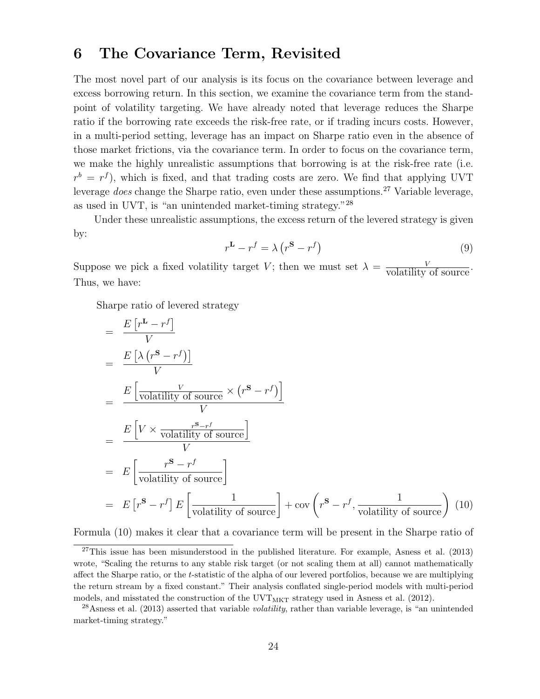## 6 The Covariance Term, Revisited

The most novel part of our analysis is its focus on the covariance between leverage and excess borrowing return. In this section, we examine the covariance term from the standpoint of volatility targeting. We have already noted that leverage reduces the Sharpe ratio if the borrowing rate exceeds the risk-free rate, or if trading incurs costs. However, in a multi-period setting, leverage has an impact on Sharpe ratio even in the absence of those market frictions, via the covariance term. In order to focus on the covariance term, we make the highly unrealistic assumptions that borrowing is at the risk-free rate (i.e.  $r^{b} = r^{f}$ ), which is fixed, and that trading costs are zero. We find that applying UVT leverage does change the Sharpe ratio, even under these assumptions.<sup>27</sup> Variable leverage, as used in UVT, is "an unintended market-timing strategy."<sup>28</sup>

Under these unrealistic assumptions, the excess return of the levered strategy is given by:

$$
r^{\mathbf{L}} - r^f = \lambda \left( r^{\mathbf{S}} - r^f \right) \tag{9}
$$

Suppose we pick a fixed volatility target V; then we must set  $\lambda = \frac{V}{\text{volatility of source}}$ . Thus, we have:

Sharpe ratio of levered strategy

$$
= \frac{E[r^{L} - r^{f}]}{V}
$$
  
\n
$$
= \frac{E\left[\lambda (r^{S} - r^{f})\right]}{V}
$$
  
\n
$$
= \frac{E\left[\frac{V}{\text{volatility of source}} \times (r^{S} - r^{f})\right]}{V}
$$
  
\n
$$
= \frac{E\left[V \times \frac{r^{S} - r^{f}}{\text{volatility of source}}\right]}{V}
$$
  
\n
$$
= E\left[\frac{r^{S} - r^{f}}{\text{volatility of source}}\right]
$$
  
\n
$$
= E\left[r^{S} - r^{f}\right]E\left[\frac{1}{\text{volatility of source}}\right] + \text{cov}\left(r^{S} - r^{f}, \frac{1}{\text{volatility of source}}\right)
$$
(10)

Formula (10) makes it clear that a covariance term will be present in the Sharpe ratio of

<sup>&</sup>lt;sup>27</sup>This issue has been misunderstood in the published literature. For example, Asness et al.  $(2013)$ wrote, "Scaling the returns to any stable risk target (or not scaling them at all) cannot mathematically affect the Sharpe ratio, or the t-statistic of the alpha of our levered portfolios, because we are multiplying the return stream by a fixed constant." Their analysis conflated single-period models with multi-period models, and misstated the construction of the  $UVT_{MKT}$  strategy used in Asness et al. (2012).

<sup>&</sup>lt;sup>28</sup>Asness et al. (2013) asserted that variable *volatility*, rather than variable leverage, is "an unintended market-timing strategy."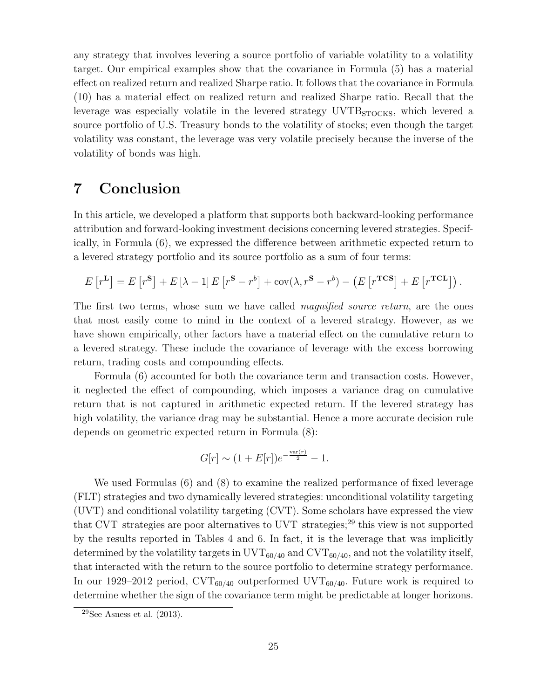any strategy that involves levering a source portfolio of variable volatility to a volatility target. Our empirical examples show that the covariance in Formula (5) has a material effect on realized return and realized Sharpe ratio. It follows that the covariance in Formula (10) has a material effect on realized return and realized Sharpe ratio. Recall that the leverage was especially volatile in the levered strategy UVTB<sub>STOCKS</sub>, which levered a source portfolio of U.S. Treasury bonds to the volatility of stocks; even though the target volatility was constant, the leverage was very volatile precisely because the inverse of the volatility of bonds was high.

## 7 Conclusion

In this article, we developed a platform that supports both backward-looking performance attribution and forward-looking investment decisions concerning levered strategies. Specifically, in Formula (6), we expressed the difference between arithmetic expected return to a levered strategy portfolio and its source portfolio as a sum of four terms:

$$
E[r^{\mathbf{L}}] = E[r^{\mathbf{S}}] + E[\lambda - 1]E[r^{\mathbf{S}} - r^{b}] + \text{cov}(\lambda, r^{\mathbf{S}} - r^{b}) - (E[r^{\text{TCS}}] + E[r^{\text{TCL}}]).
$$

The first two terms, whose sum we have called *magnified source return*, are the ones that most easily come to mind in the context of a levered strategy. However, as we have shown empirically, other factors have a material effect on the cumulative return to a levered strategy. These include the covariance of leverage with the excess borrowing return, trading costs and compounding effects.

Formula (6) accounted for both the covariance term and transaction costs. However, it neglected the effect of compounding, which imposes a variance drag on cumulative return that is not captured in arithmetic expected return. If the levered strategy has high volatility, the variance drag may be substantial. Hence a more accurate decision rule depends on geometric expected return in Formula (8):

$$
G[r] \sim (1 + E[r])e^{-\frac{\text{var}(r)}{2}} - 1.
$$

We used Formulas (6) and (8) to examine the realized performance of fixed leverage (FLT) strategies and two dynamically levered strategies: unconditional volatility targeting (UVT) and conditional volatility targeting (CVT). Some scholars have expressed the view that CVT strategies are poor alternatives to UVT strategies;<sup>29</sup> this view is not supported by the results reported in Tables 4 and 6. In fact, it is the leverage that was implicitly determined by the volatility targets in  $\text{UVT}_{60/40}$  and  $\text{CVT}_{60/40}$ , and not the volatility itself, that interacted with the return to the source portfolio to determine strategy performance. In our 1929–2012 period,  $\text{CVT}_{60/40}$  outperformed  $\text{UVT}_{60/40}$ . Future work is required to determine whether the sign of the covariance term might be predictable at longer horizons.

 $29$ See Asness et al.  $(2013)$ .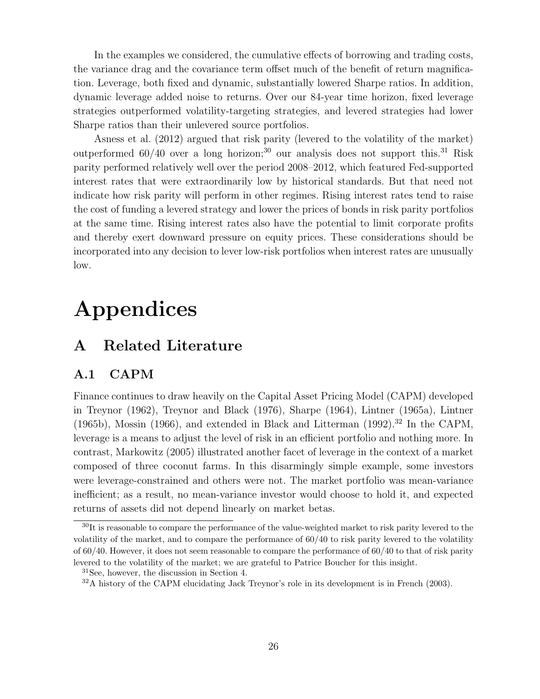In the examples we considered, the cumulative effects of borrowing and trading costs, the variance drag and the covariance term offset much of the benefit of return magnification. Leverage, both fixed and dynamic, substantially lowered Sharpe ratios. In addition, dynamic leverage added noise to returns. Over our 84-year time horizon, fixed leverage strategies outperformed volatility-targeting strategies, and levered strategies had lower Sharpe ratios than their unlevered source portfolios.

Asness et al. (2012) argued that risk parity (levered to the volatility of the market) outperformed  $60/40$  over a long horizon;<sup>30</sup> our analysis does not support this.<sup>31</sup> Risk parity performed relatively well over the period 2008–2012, which featured Fed-supported interest rates that were extraordinarily low by historical standards. But that need not indicate how risk parity will perform in other regimes. Rising interest rates tend to raise the cost of funding a levered strategy and lower the prices of bonds in risk parity portfolios at the same time. Rising interest rates also have the potential to limit corporate profits and thereby exert downward pressure on equity prices. These considerations should be incorporated into any decision to lever low-risk portfolios when interest rates are unusually low.

# Appendices

## A Related Literature

### A.1 CAPM

Finance continues to draw heavily on the Capital Asset Pricing Model (CAPM) developed in Treynor (1962), Treynor and Black (1976), Sharpe (1964), Lintner (1965a), Lintner (1965b), Mossin (1966), and extended in Black and Litterman (1992).<sup>32</sup> In the CAPM, leverage is a means to adjust the level of risk in an efficient portfolio and nothing more. In contrast, Markowitz (2005) illustrated another facet of leverage in the context of a market composed of three coconut farms. In this disarmingly simple example, some investors were leverage-constrained and others were not. The market portfolio was mean-variance inefficient; as a result, no mean-variance investor would choose to hold it, and expected returns of assets did not depend linearly on market betas.

 $30$ It is reasonable to compare the performance of the value-weighted market to risk parity levered to the volatility of the market, and to compare the performance of 60/40 to risk parity levered to the volatility of 60/40. However, it does not seem reasonable to compare the performance of 60/40 to that of risk parity levered to the volatility of the market; we are grateful to Patrice Boucher for this insight.

<sup>31</sup>See, however, the discussion in Section 4.

<sup>&</sup>lt;sup>32</sup>A history of the CAPM elucidating Jack Treynor's role in its development is in French (2003).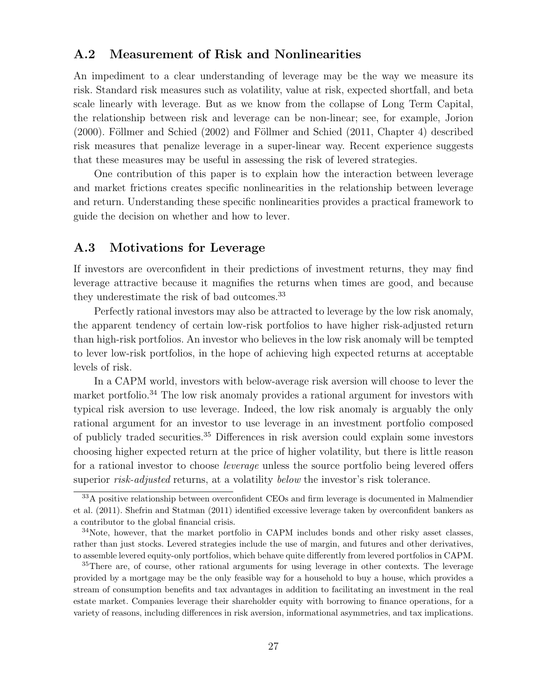### A.2 Measurement of Risk and Nonlinearities

An impediment to a clear understanding of leverage may be the way we measure its risk. Standard risk measures such as volatility, value at risk, expected shortfall, and beta scale linearly with leverage. But as we know from the collapse of Long Term Capital, the relationship between risk and leverage can be non-linear; see, for example, Jorion  $(2000)$ . Föllmer and Schied  $(2002)$  and Föllmer and Schied  $(2011, 2000)$ . Föllmer risk measures that penalize leverage in a super-linear way. Recent experience suggests that these measures may be useful in assessing the risk of levered strategies.

One contribution of this paper is to explain how the interaction between leverage and market frictions creates specific nonlinearities in the relationship between leverage and return. Understanding these specific nonlinearities provides a practical framework to guide the decision on whether and how to lever.

### A.3 Motivations for Leverage

If investors are overconfident in their predictions of investment returns, they may find leverage attractive because it magnifies the returns when times are good, and because they underestimate the risk of bad outcomes.<sup>33</sup>

Perfectly rational investors may also be attracted to leverage by the low risk anomaly, the apparent tendency of certain low-risk portfolios to have higher risk-adjusted return than high-risk portfolios. An investor who believes in the low risk anomaly will be tempted to lever low-risk portfolios, in the hope of achieving high expected returns at acceptable levels of risk.

In a CAPM world, investors with below-average risk aversion will choose to lever the market portfolio.<sup>34</sup> The low risk anomaly provides a rational argument for investors with typical risk aversion to use leverage. Indeed, the low risk anomaly is arguably the only rational argument for an investor to use leverage in an investment portfolio composed of publicly traded securities.<sup>35</sup> Differences in risk aversion could explain some investors choosing higher expected return at the price of higher volatility, but there is little reason for a rational investor to choose leverage unless the source portfolio being levered offers superior *risk-adjusted* returns, at a volatility *below* the investor's risk tolerance.

<sup>&</sup>lt;sup>33</sup>A positive relationship between overconfident CEOs and firm leverage is documented in Malmendier et al. (2011). Shefrin and Statman (2011) identified excessive leverage taken by overconfident bankers as a contributor to the global financial crisis.

<sup>&</sup>lt;sup>34</sup>Note, however, that the market portfolio in CAPM includes bonds and other risky asset classes, rather than just stocks. Levered strategies include the use of margin, and futures and other derivatives, to assemble levered equity-only portfolios, which behave quite differently from levered portfolios in CAPM.

<sup>&</sup>lt;sup>35</sup>There are, of course, other rational arguments for using leverage in other contexts. The leverage provided by a mortgage may be the only feasible way for a household to buy a house, which provides a stream of consumption benefits and tax advantages in addition to facilitating an investment in the real estate market. Companies leverage their shareholder equity with borrowing to finance operations, for a variety of reasons, including differences in risk aversion, informational asymmetries, and tax implications.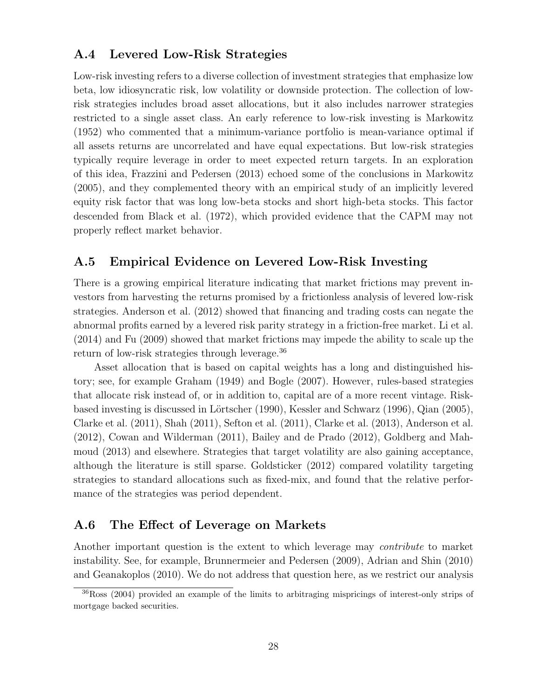### A.4 Levered Low-Risk Strategies

Low-risk investing refers to a diverse collection of investment strategies that emphasize low beta, low idiosyncratic risk, low volatility or downside protection. The collection of lowrisk strategies includes broad asset allocations, but it also includes narrower strategies restricted to a single asset class. An early reference to low-risk investing is Markowitz (1952) who commented that a minimum-variance portfolio is mean-variance optimal if all assets returns are uncorrelated and have equal expectations. But low-risk strategies typically require leverage in order to meet expected return targets. In an exploration of this idea, Frazzini and Pedersen (2013) echoed some of the conclusions in Markowitz (2005), and they complemented theory with an empirical study of an implicitly levered equity risk factor that was long low-beta stocks and short high-beta stocks. This factor descended from Black et al. (1972), which provided evidence that the CAPM may not properly reflect market behavior.

### A.5 Empirical Evidence on Levered Low-Risk Investing

There is a growing empirical literature indicating that market frictions may prevent investors from harvesting the returns promised by a frictionless analysis of levered low-risk strategies. Anderson et al. (2012) showed that financing and trading costs can negate the abnormal profits earned by a levered risk parity strategy in a friction-free market. Li et al. (2014) and Fu (2009) showed that market frictions may impede the ability to scale up the return of low-risk strategies through leverage.<sup>36</sup>

Asset allocation that is based on capital weights has a long and distinguished history; see, for example Graham (1949) and Bogle (2007). However, rules-based strategies that allocate risk instead of, or in addition to, capital are of a more recent vintage. Riskbased investing is discussed in Lörtscher (1990), Kessler and Schwarz (1996), Qian (2005), Clarke et al. (2011), Shah (2011), Sefton et al. (2011), Clarke et al. (2013), Anderson et al. (2012), Cowan and Wilderman (2011), Bailey and de Prado (2012), Goldberg and Mahmoud (2013) and elsewhere. Strategies that target volatility are also gaining acceptance, although the literature is still sparse. Goldsticker (2012) compared volatility targeting strategies to standard allocations such as fixed-mix, and found that the relative performance of the strategies was period dependent.

### A.6 The Effect of Leverage on Markets

Another important question is the extent to which leverage may *contribute* to market instability. See, for example, Brunnermeier and Pedersen (2009), Adrian and Shin (2010) and Geanakoplos (2010). We do not address that question here, as we restrict our analysis

<sup>36</sup>Ross (2004) provided an example of the limits to arbitraging mispricings of interest-only strips of mortgage backed securities.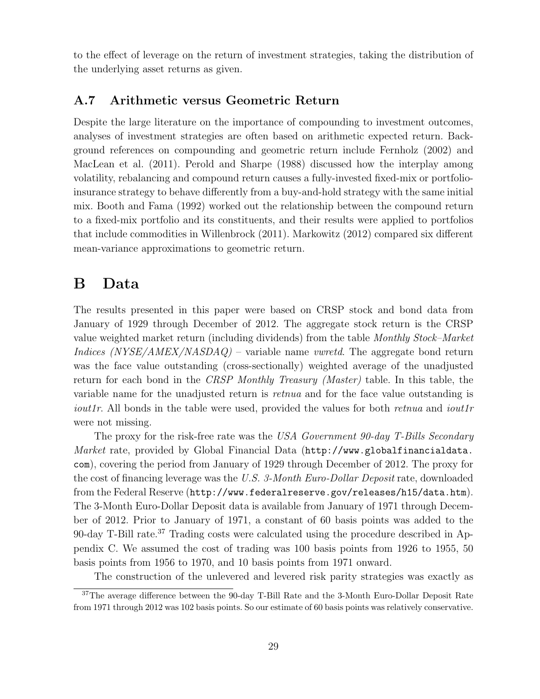to the effect of leverage on the return of investment strategies, taking the distribution of the underlying asset returns as given.

### A.7 Arithmetic versus Geometric Return

Despite the large literature on the importance of compounding to investment outcomes, analyses of investment strategies are often based on arithmetic expected return. Background references on compounding and geometric return include Fernholz (2002) and MacLean et al. (2011). Perold and Sharpe (1988) discussed how the interplay among volatility, rebalancing and compound return causes a fully-invested fixed-mix or portfolioinsurance strategy to behave differently from a buy-and-hold strategy with the same initial mix. Booth and Fama (1992) worked out the relationship between the compound return to a fixed-mix portfolio and its constituents, and their results were applied to portfolios that include commodities in Willenbrock (2011). Markowitz (2012) compared six different mean-variance approximations to geometric return.

## B Data

The results presented in this paper were based on CRSP stock and bond data from January of 1929 through December of 2012. The aggregate stock return is the CRSP value weighted market return (including dividends) from the table Monthly Stock–Market Indices  $(NYSE/AMEX/NASDAQ)$  – variable name *vwretd*. The aggregate bond return was the face value outstanding (cross-sectionally) weighted average of the unadjusted return for each bond in the *CRSP Monthly Treasury (Master)* table. In this table, the variable name for the unadjusted return is *retnua* and for the face value outstanding is *iout1r.* All bonds in the table were used, provided the values for both *retnua* and *iout1r* were not missing.

The proxy for the risk-free rate was the USA Government 90-day T-Bills Secondary Market rate, provided by Global Financial Data (http://www.globalfinancialdata. com), covering the period from January of 1929 through December of 2012. The proxy for the cost of financing leverage was the U.S. 3-Month Euro-Dollar Deposit rate, downloaded from the Federal Reserve (http://www.federalreserve.gov/releases/h15/data.htm). The 3-Month Euro-Dollar Deposit data is available from January of 1971 through December of 2012. Prior to January of 1971, a constant of 60 basis points was added to the 90-day T-Bill rate.<sup>37</sup> Trading costs were calculated using the procedure described in Appendix C. We assumed the cost of trading was 100 basis points from 1926 to 1955, 50 basis points from 1956 to 1970, and 10 basis points from 1971 onward.

The construction of the unlevered and levered risk parity strategies was exactly as

<sup>&</sup>lt;sup>37</sup>The average difference between the 90-day T-Bill Rate and the 3-Month Euro-Dollar Deposit Rate from 1971 through 2012 was 102 basis points. So our estimate of 60 basis points was relatively conservative.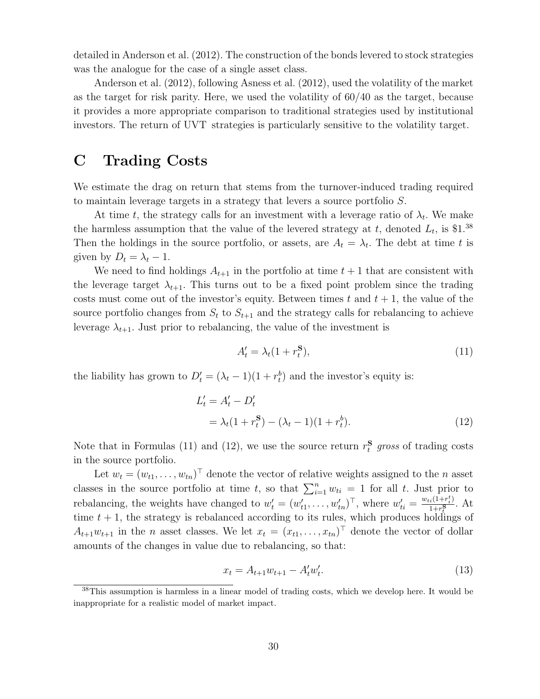detailed in Anderson et al. (2012). The construction of the bonds levered to stock strategies was the analogue for the case of a single asset class.

Anderson et al. (2012), following Asness et al. (2012), used the volatility of the market as the target for risk parity. Here, we used the volatility of 60/40 as the target, because it provides a more appropriate comparison to traditional strategies used by institutional investors. The return of UVT strategies is particularly sensitive to the volatility target.

## C Trading Costs

We estimate the drag on return that stems from the turnover-induced trading required to maintain leverage targets in a strategy that levers a source portfolio S.

At time t, the strategy calls for an investment with a leverage ratio of  $\lambda_t$ . We make the harmless assumption that the value of the levered strategy at t, denoted  $L_t$ , is \$1.<sup>38</sup> Then the holdings in the source portfolio, or assets, are  $A_t = \lambda_t$ . The debt at time t is given by  $D_t = \lambda_t - 1$ .

We need to find holdings  $A_{t+1}$  in the portfolio at time  $t+1$  that are consistent with the leverage target  $\lambda_{t+1}$ . This turns out to be a fixed point problem since the trading costs must come out of the investor's equity. Between times t and  $t + 1$ , the value of the source portfolio changes from  $S_t$  to  $S_{t+1}$  and the strategy calls for rebalancing to achieve leverage  $\lambda_{t+1}$ . Just prior to rebalancing, the value of the investment is

$$
A_t' = \lambda_t (1 + r_t^{\mathbf{S}}),\tag{11}
$$

the liability has grown to  $D'_t = (\lambda_t - 1)(1 + r_t^b)$  and the investor's equity is:

$$
L'_{t} = A'_{t} - D'_{t}
$$
  
=  $\lambda_{t}(1 + r_{t}^{S}) - (\lambda_{t} - 1)(1 + r_{t}^{b}).$  (12)

Note that in Formulas (11) and (12), we use the source return  $r_t^{\mathbf{S}}$  gross of trading costs in the source portfolio.

Let  $w_t = (w_{t1}, \ldots, w_{tn})^\top$  denote the vector of relative weights assigned to the n asset classes in the source portfolio at time t, so that  $\sum_{i=1}^{n} w_{ti} = 1$  for all t. Just prior to rebalancing, the weights have changed to  $w'_t = (w'_{t1}, \ldots, w'_{tn})^\top$ , where  $w'_{ti} = \frac{w_{ti}(1+r_i^t)}{1+r_i^S}$  $\frac{i(1+r_i)}{1+r_i^S}$ . At time  $t + 1$ , the strategy is rebalanced according to its rules, which produces holdings of  $A_{t+1}w_{t+1}$  in the *n* asset classes. We let  $x_t = (x_{t1}, \ldots, x_{tn})^\top$  denote the vector of dollar amounts of the changes in value due to rebalancing, so that:

$$
x_t = A_{t+1} w_{t+1} - A'_t w'_t. \tag{13}
$$

<sup>&</sup>lt;sup>38</sup>This assumption is harmless in a linear model of trading costs, which we develop here. It would be inappropriate for a realistic model of market impact.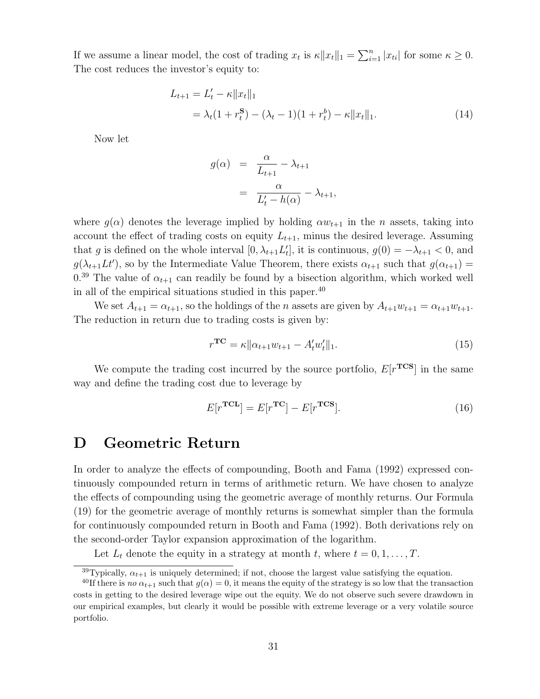If we assume a linear model, the cost of trading  $x_t$  is  $\kappa ||x_t||_1 = \sum_{i=1}^n |x_{ti}|$  for some  $\kappa \geq 0$ . The cost reduces the investor's equity to:

$$
L_{t+1} = L'_t - \kappa ||x_t||_1
$$
  
=  $\lambda_t (1 + r_t^S) - (\lambda_t - 1)(1 + r_t^b) - \kappa ||x_t||_1.$  (14)

Now let

$$
g(\alpha) = \frac{\alpha}{L_{t+1}} - \lambda_{t+1}
$$
  
= 
$$
\frac{\alpha}{L_t' - h(\alpha)} - \lambda_{t+1},
$$

where  $g(\alpha)$  denotes the leverage implied by holding  $\alpha w_{t+1}$  in the *n* assets, taking into account the effect of trading costs on equity  $L_{t+1}$ , minus the desired leverage. Assuming that g is defined on the whole interval  $[0, \lambda_{t+1} L'_t]$ , it is continuous,  $g(0) = -\lambda_{t+1} < 0$ , and  $g(\lambda_{t+1} L t)$ , so by the Intermediate Value Theorem, there exists  $\alpha_{t+1}$  such that  $g(\alpha_{t+1}) =$  $0.39$  The value of  $\alpha_{t+1}$  can readily be found by a bisection algorithm, which worked well in all of the empirical situations studied in this paper.<sup>40</sup>

We set  $A_{t+1} = \alpha_{t+1}$ , so the holdings of the *n* assets are given by  $A_{t+1}w_{t+1} = \alpha_{t+1}w_{t+1}$ . The reduction in return due to trading costs is given by:

$$
r^{\mathbf{TC}} = \kappa \|\alpha_{t+1} w_{t+1} - A'_t w'_t\|_1. \tag{15}
$$

We compute the trading cost incurred by the source portfolio,  $E[r^{\text{TCS}}]$  in the same way and define the trading cost due to leverage by

$$
E[r^{\mathbf{TCL}}] = E[r^{\mathbf{TC}}] - E[r^{\mathbf{TCS}}].
$$
\n(16)

## D Geometric Return

In order to analyze the effects of compounding, Booth and Fama (1992) expressed continuously compounded return in terms of arithmetic return. We have chosen to analyze the effects of compounding using the geometric average of monthly returns. Our Formula (19) for the geometric average of monthly returns is somewhat simpler than the formula for continuously compounded return in Booth and Fama (1992). Both derivations rely on the second-order Taylor expansion approximation of the logarithm.

Let  $L_t$  denote the equity in a strategy at month t, where  $t = 0, 1, \ldots, T$ .

<sup>&</sup>lt;sup>39</sup>Typically,  $\alpha_{t+1}$  is uniquely determined; if not, choose the largest value satisfying the equation.

<sup>&</sup>lt;sup>40</sup>If there is no  $\alpha_{t+1}$  such that  $g(\alpha) = 0$ , it means the equity of the strategy is so low that the transaction costs in getting to the desired leverage wipe out the equity. We do not observe such severe drawdown in our empirical examples, but clearly it would be possible with extreme leverage or a very volatile source portfolio.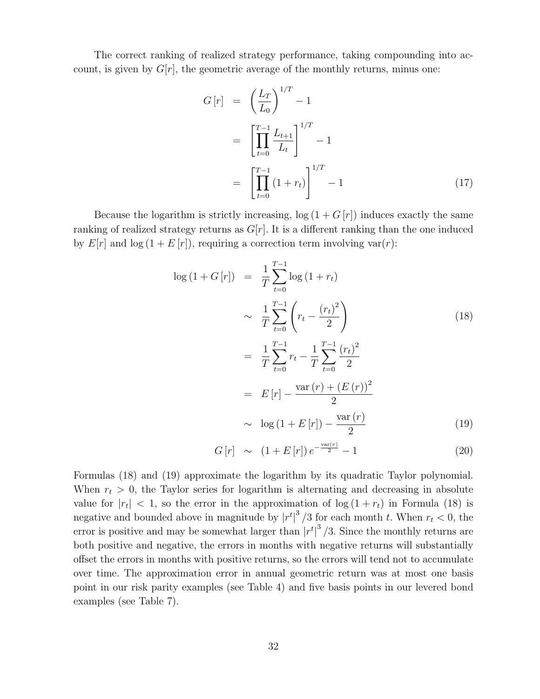The correct ranking of realized strategy performance, taking compounding into account, is given by  $G[r]$ , the geometric average of the monthly returns, minus one:

$$
G[r] = \left(\frac{L_T}{L_0}\right)^{1/T} - 1
$$
  
= 
$$
\left[\prod_{t=0}^{T-1} \frac{L_{t+1}}{L_t}\right]^{1/T} - 1
$$
  
= 
$$
\left[\prod_{t=0}^{T-1} (1+r_t)\right]^{1/T} - 1
$$
 (17)

Because the logarithm is strictly increasing,  $log(1 + G[r])$  induces exactly the same ranking of realized strategy returns as  $G[r]$ . It is a different ranking than the one induced by  $E[r]$  and  $\log(1 + E[r])$ , requiring a correction term involving var $(r)$ :

$$
\log (1 + G[r]) = \frac{1}{T} \sum_{t=0}^{T-1} \log (1 + r_t)
$$
  
\n
$$
\sim \frac{1}{T} \sum_{t=0}^{T-1} \left( r_t - \frac{(r_t)^2}{2} \right)
$$
  
\n
$$
= \frac{1}{T} \sum_{t=0}^{T-1} r_t - \frac{1}{T} \sum_{t=0}^{T-1} \frac{(r_t)^2}{2}
$$
  
\n
$$
= E[r] - \frac{\text{var}(r) + (E(r))^2}{2}
$$
  
\n
$$
\sim \log (1 + E[r]) - \frac{\text{var}(r)}{2}
$$
 (19)

$$
G[r] \sim (1 + E[r]) e^{-\frac{\text{var}(r)}{2}} - 1 \tag{20}
$$

Formulas (18) and (19) approximate the logarithm by its quadratic Taylor polynomial. When  $r_t > 0$ , the Taylor series for logarithm is alternating and decreasing in absolute value for  $|r_t| < 1$ , so the error in the approximation of  $\log(1 + r_t)$  in Formula (18) is negative and bounded above in magnitude by  $|r^t|^3/3$  for each month t. When  $r_t < 0$ , the error is positive and may be somewhat larger than  $|r^t|^3/3$ . Since the monthly returns are both positive and negative, the errors in months with negative returns will substantially offset the errors in months with positive returns, so the errors will tend not to accumulate over time. The approximation error in annual geometric return was at most one basis point in our risk parity examples (see Table 4) and five basis points in our levered bond examples (see Table 7).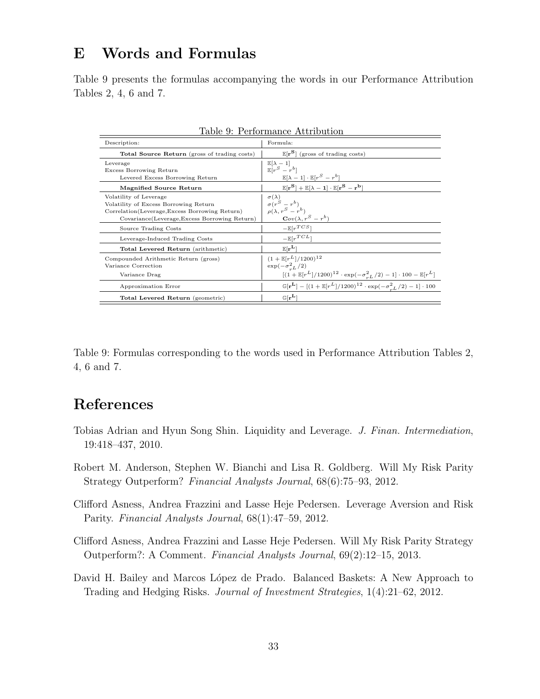## E Words and Formulas

Table 9 presents the formulas accompanying the words in our Performance Attribution Tables 2, 4, 6 and 7.

| Table 9: Performance Attribution                                                                                                                                     |                                                                                                                                                             |  |  |  |  |
|----------------------------------------------------------------------------------------------------------------------------------------------------------------------|-------------------------------------------------------------------------------------------------------------------------------------------------------------|--|--|--|--|
| Description:                                                                                                                                                         | Formula:                                                                                                                                                    |  |  |  |  |
| <b>Total Source Return</b> (gross of trading costs)                                                                                                                  | $\mathbb{E}[\mathbf{r}^{\mathbf{S}}]$ (gross of trading costs)                                                                                              |  |  |  |  |
| Leverage<br><b>Excess Borrowing Return</b><br>Levered Excess Borrowing Return                                                                                        | $\mathbb{E}[\lambda-1]$<br>$\mathbb{E}[r^S-r^b]$<br>$\mathbb{E}[\lambda-1] \cdot \mathbb{E}[r^S-r^b]$                                                       |  |  |  |  |
| Magnified Source Return                                                                                                                                              | $\mathbb{E}[\mathbf{r}^{\mathbf{S}}] + \mathbb{E}[\lambda - \mathbf{1}] \cdot \mathbb{E}[\mathbf{r}^{\mathbf{S}} - \mathbf{r}^{\mathbf{b}}]$                |  |  |  |  |
| Volatility of Leverage<br>Volatility of Excess Borrowing Return<br>Correlation (Leverage, Excess Borrowing Return)<br>Covariance (Leverage, Excess Borrowing Return) | $\frac{\sigma(\lambda)}{\sigma(r^S-r^b)}$<br>$\rho(\lambda, r^S - r^b)$<br>$Cov(\lambda, r^S - r^b)$                                                        |  |  |  |  |
| Source Trading Costs                                                                                                                                                 | $-\mathbb{E}[r^{TCS}]$                                                                                                                                      |  |  |  |  |
| Leverage-Induced Trading Costs                                                                                                                                       | $-\mathbb{E}[r^{TCL}]$                                                                                                                                      |  |  |  |  |
| Total Levered Return (arithmetic)                                                                                                                                    | $\mathbb{E}[\mathbf{r}^{\mathbf{L}}]$                                                                                                                       |  |  |  |  |
| Compounded Arithmetic Return (gross)<br>Variance Correction<br>Variance Drag                                                                                         | $(1 + \mathbb{E}[r^L]/1200)^{12}$<br>$\exp(-\sigma_{-L}^{2}/2)$<br>$[(1+\mathbb{E}[r^L]/1200)^{12}\cdot \exp(-\sigma_{-L}^2/2)-1]\cdot 100-\mathbb{E}[r^L]$ |  |  |  |  |
| Approximation Error                                                                                                                                                  | $\mathbb{G}[\mathbf{r}^{\mathbf{L}}] - [(1 + \mathbb{E}[r^L]/1200)^{12} \cdot \exp(-\sigma^2)^2/2) - 1] \cdot 100$                                          |  |  |  |  |
| Total Levered Return (geometric)                                                                                                                                     | $\mathbb{G}[\mathbf{r^L}]$                                                                                                                                  |  |  |  |  |

Table 9: Formulas corresponding to the words used in Performance Attribution Tables 2, 4, 6 and 7.

## References

- Tobias Adrian and Hyun Song Shin. Liquidity and Leverage. J. Finan. Intermediation, 19:418–437, 2010.
- Robert M. Anderson, Stephen W. Bianchi and Lisa R. Goldberg. Will My Risk Parity Strategy Outperform? Financial Analysts Journal, 68(6):75–93, 2012.
- Clifford Asness, Andrea Frazzini and Lasse Heje Pedersen. Leverage Aversion and Risk Parity. Financial Analysts Journal, 68(1):47–59, 2012.
- Clifford Asness, Andrea Frazzini and Lasse Heje Pedersen. Will My Risk Parity Strategy Outperform?: A Comment. Financial Analysts Journal, 69(2):12–15, 2013.
- David H. Bailey and Marcos López de Prado. Balanced Baskets: A New Approach to Trading and Hedging Risks. Journal of Investment Strategies, 1(4):21–62, 2012.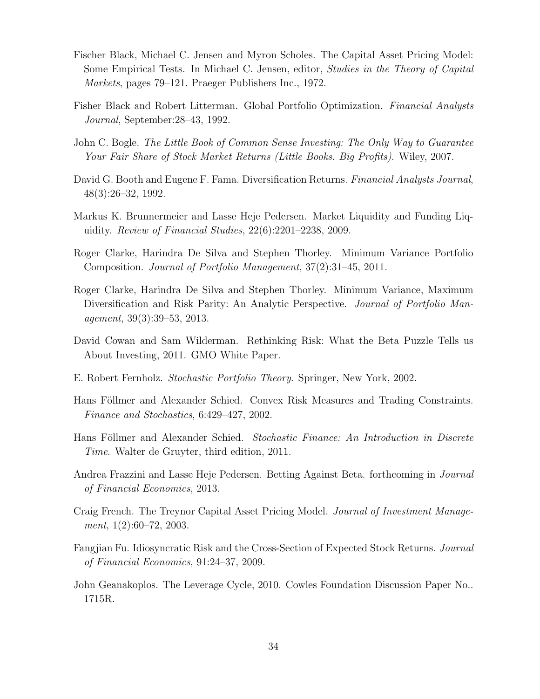- Fischer Black, Michael C. Jensen and Myron Scholes. The Capital Asset Pricing Model: Some Empirical Tests. In Michael C. Jensen, editor, Studies in the Theory of Capital Markets, pages 79–121. Praeger Publishers Inc., 1972.
- Fisher Black and Robert Litterman. Global Portfolio Optimization. Financial Analysts Journal, September:28–43, 1992.
- John C. Bogle. The Little Book of Common Sense Investing: The Only Way to Guarantee Your Fair Share of Stock Market Returns (Little Books. Big Profits). Wiley, 2007.
- David G. Booth and Eugene F. Fama. Diversification Returns. Financial Analysts Journal, 48(3):26–32, 1992.
- Markus K. Brunnermeier and Lasse Heje Pedersen. Market Liquidity and Funding Liquidity. Review of Financial Studies, 22(6):2201–2238, 2009.
- Roger Clarke, Harindra De Silva and Stephen Thorley. Minimum Variance Portfolio Composition. Journal of Portfolio Management, 37(2):31–45, 2011.
- Roger Clarke, Harindra De Silva and Stephen Thorley. Minimum Variance, Maximum Diversification and Risk Parity: An Analytic Perspective. Journal of Portfolio Management, 39(3):39–53, 2013.
- David Cowan and Sam Wilderman. Rethinking Risk: What the Beta Puzzle Tells us About Investing, 2011. GMO White Paper.
- E. Robert Fernholz. Stochastic Portfolio Theory. Springer, New York, 2002.
- Hans Föllmer and Alexander Schied. Convex Risk Measures and Trading Constraints. Finance and Stochastics, 6:429–427, 2002.
- Hans Föllmer and Alexander Schied. Stochastic Finance: An Introduction in Discrete Time. Walter de Gruyter, third edition, 2011.
- Andrea Frazzini and Lasse Heje Pedersen. Betting Against Beta. forthcoming in Journal of Financial Economics, 2013.
- Craig French. The Treynor Capital Asset Pricing Model. Journal of Investment Management, 1(2):60–72, 2003.
- Fangjian Fu. Idiosyncratic Risk and the Cross-Section of Expected Stock Returns. Journal of Financial Economics, 91:24–37, 2009.
- John Geanakoplos. The Leverage Cycle, 2010. Cowles Foundation Discussion Paper No.. 1715R.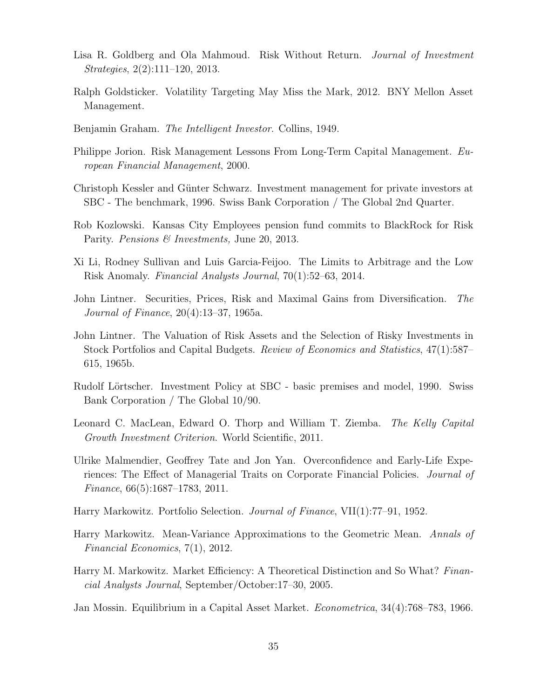- Lisa R. Goldberg and Ola Mahmoud. Risk Without Return. *Journal of Investment* Strategies, 2(2):111–120, 2013.
- Ralph Goldsticker. Volatility Targeting May Miss the Mark, 2012. BNY Mellon Asset Management.
- Benjamin Graham. The Intelligent Investor. Collins, 1949.
- Philippe Jorion. Risk Management Lessons From Long-Term Capital Management. European Financial Management, 2000.
- Christoph Kessler and G¨unter Schwarz. Investment management for private investors at SBC - The benchmark, 1996. Swiss Bank Corporation / The Global 2nd Quarter.
- Rob Kozlowski. Kansas City Employees pension fund commits to BlackRock for Risk Parity. *Pensions & Investments*, June 20, 2013.
- Xi Li, Rodney Sullivan and Luis Garcia-Feijoo. The Limits to Arbitrage and the Low Risk Anomaly. Financial Analysts Journal, 70(1):52–63, 2014.
- John Lintner. Securities, Prices, Risk and Maximal Gains from Diversification. The Journal of Finance, 20(4):13–37, 1965a.
- John Lintner. The Valuation of Risk Assets and the Selection of Risky Investments in Stock Portfolios and Capital Budgets. Review of Economics and Statistics, 47(1):587– 615, 1965b.
- Rudolf Lörtscher. Investment Policy at SBC basic premises and model, 1990. Swiss Bank Corporation / The Global 10/90.
- Leonard C. MacLean, Edward O. Thorp and William T. Ziemba. The Kelly Capital Growth Investment Criterion. World Scientific, 2011.
- Ulrike Malmendier, Geoffrey Tate and Jon Yan. Overconfidence and Early-Life Experiences: The Effect of Managerial Traits on Corporate Financial Policies. Journal of Finance, 66(5):1687–1783, 2011.
- Harry Markowitz. Portfolio Selection. Journal of Finance, VII(1):77–91, 1952.
- Harry Markowitz. Mean-Variance Approximations to the Geometric Mean. Annals of Financial Economics, 7(1), 2012.
- Harry M. Markowitz. Market Efficiency: A Theoretical Distinction and So What? Financial Analysts Journal, September/October:17–30, 2005.
- Jan Mossin. Equilibrium in a Capital Asset Market. Econometrica, 34(4):768–783, 1966.